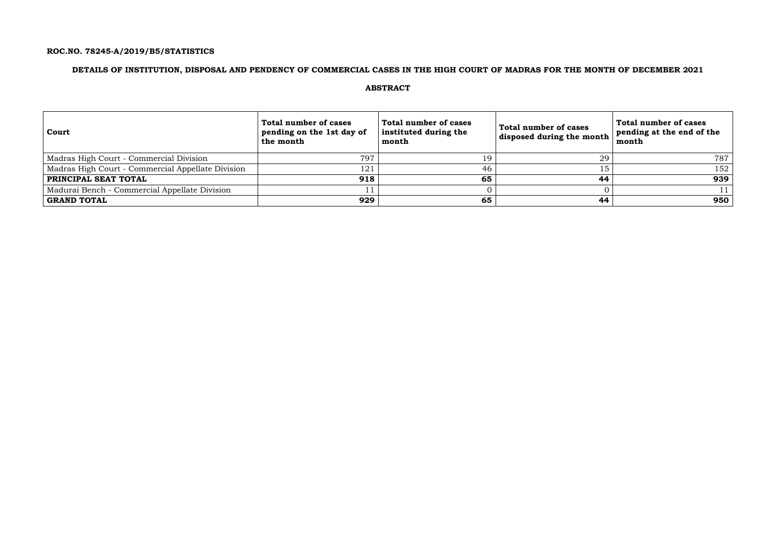## **ROC.NO. 78245-A/2019/B5/STATISTICS**

## **DETAILS OF INSTITUTION, DISPOSAL AND PENDENCY OF COMMERCIAL CASES IN THE HIGH COURT OF MADRAS FOR THE MONTH OF DECEMBER 2021**

### **ABSTRACT**

| <b>Court</b>                                      | Total number of cases<br>pending on the 1st day of<br>the month | Total number of cases<br>instituted during the<br>month | <b>Total number of cases</b><br>disposed during the month | Total number of cases<br>pending at the end of the<br>month |
|---------------------------------------------------|-----------------------------------------------------------------|---------------------------------------------------------|-----------------------------------------------------------|-------------------------------------------------------------|
| Madras High Court - Commercial Division           | 797                                                             | 19                                                      | 29                                                        | 787                                                         |
| Madras High Court - Commercial Appellate Division | 121                                                             | 46                                                      |                                                           | 152                                                         |
| PRINCIPAL SEAT TOTAL                              | 918                                                             | 65                                                      | 44                                                        | 939                                                         |
| Madurai Bench - Commercial Appellate Division     |                                                                 |                                                         |                                                           |                                                             |
| GRAND TOTAL                                       | 929                                                             | 65                                                      | 44                                                        | 950                                                         |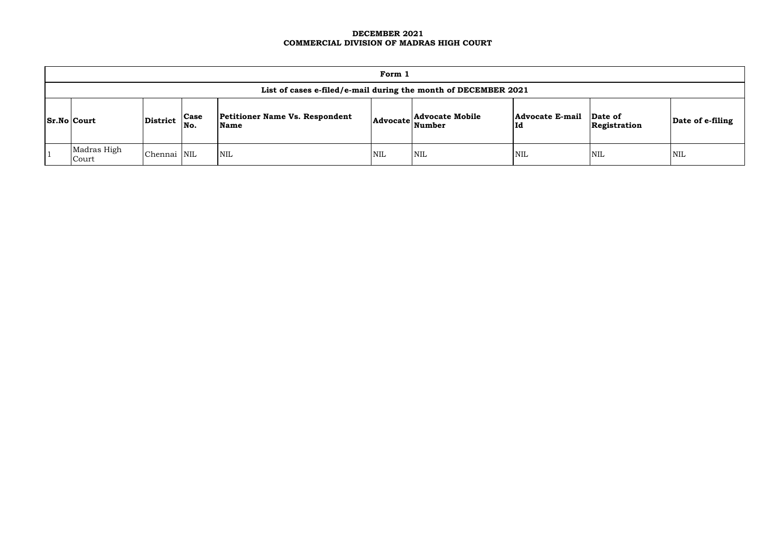### **DECEMBER 2021 COMMERCIAL DIVISION OF MADRAS HIGH COURT**

| Form 1                                                         |                 |                    |                                               |            |                                                                 |                              |                         |                  |  |  |
|----------------------------------------------------------------|-----------------|--------------------|-----------------------------------------------|------------|-----------------------------------------------------------------|------------------------------|-------------------------|------------------|--|--|
| List of cases e-filed/e-mail during the month of DECEMBER 2021 |                 |                    |                                               |            |                                                                 |                              |                         |                  |  |  |
| $\vert$ Sr.No $\vert$ Court                                    | <b>District</b> | <b>Case</b><br>No. | <b>Petitioner Name Vs. Respondent</b><br>Name |            | <b>Advocate Mobile</b><br>$ {\bf Advocate}\vert_{\bf Number}^-$ | <b>Advocate E-mail</b><br>Id | Date of<br>Registration | Date of e-filing |  |  |
| Madras High<br>Court                                           | Chennai NIL     |                    | NIL                                           | <b>NIL</b> | NIL                                                             | <b>NIL</b>                   | <b>NIL</b>              | <b>NIL</b>       |  |  |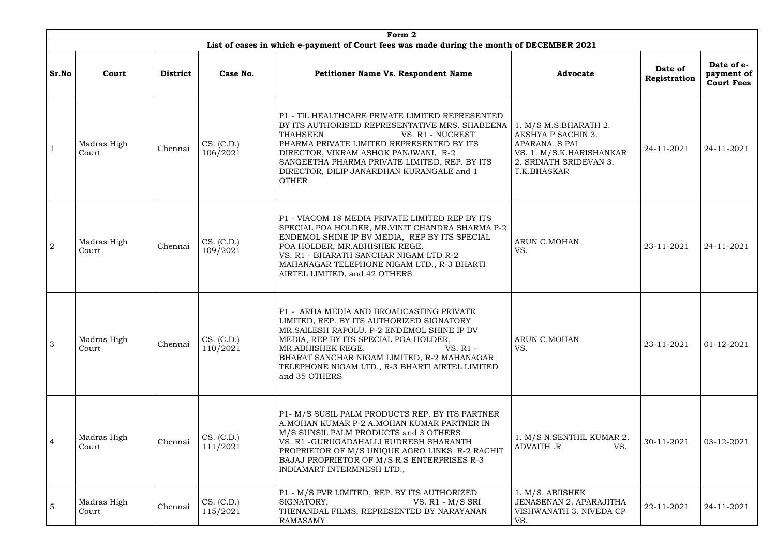|                | Form 2               |                 |                        |                                                                                                                                                                                                                                                                                                                                             |                                                                                                                                           |                         |                                               |  |  |  |  |
|----------------|----------------------|-----------------|------------------------|---------------------------------------------------------------------------------------------------------------------------------------------------------------------------------------------------------------------------------------------------------------------------------------------------------------------------------------------|-------------------------------------------------------------------------------------------------------------------------------------------|-------------------------|-----------------------------------------------|--|--|--|--|
|                |                      |                 |                        | List of cases in which e-payment of Court fees was made during the month of DECEMBER 2021                                                                                                                                                                                                                                                   |                                                                                                                                           |                         |                                               |  |  |  |  |
| Sr.No          | Court                | <b>District</b> | Case No.               | <b>Petitioner Name Vs. Respondent Name</b>                                                                                                                                                                                                                                                                                                  | <b>Advocate</b>                                                                                                                           | Date of<br>Registration | Date of e-<br>payment of<br><b>Court Fees</b> |  |  |  |  |
|                | Madras High<br>Court | Chennai         | CS. (C.D.)<br>106/2021 | P1 - TIL HEALTHCARE PRIVATE LIMITED REPRESENTED<br>BY ITS AUTHORISED REPRESENTATIVE MRS. SHABEENA<br><b>THAHSEEN</b><br>VS. R1 - NUCREST<br>PHARMA PRIVATE LIMITED REPRESENTED BY ITS<br>DIRECTOR, VIKRAM ASHOK PANJWANI, R-2<br>SANGEETHA PHARMA PRIVATE LIMITED, REP. BY ITS<br>DIRECTOR, DILIP JANARDHAN KURANGALE and 1<br><b>OTHER</b> | 1. M/S M.S.BHARATH 2.<br>AKSHYA P SACHIN 3.<br><b>APARANA .S PAI</b><br>VS. 1. M/S.K.HARISHANKAR<br>2. SRINATH SRIDEVAN 3.<br>T.K.BHASKAR | 24-11-2021              | 24-11-2021                                    |  |  |  |  |
| $\overline{2}$ | Madras High<br>Court | Chennai         | CS. (C.D.)<br>109/2021 | P1 - VIACOM 18 MEDIA PRIVATE LIMITED REP BY ITS<br>SPECIAL POA HOLDER, MR.VINIT CHANDRA SHARMA P-2<br>ENDEMOL SHINE IP BV MEDIA, REP BY ITS SPECIAL<br>POA HOLDER, MR.ABHISHEK REGE.<br>VS. R1 - BHARATH SANCHAR NIGAM LTD R-2<br>MAHANAGAR TELEPHONE NIGAM LTD., R-3 BHARTI<br>AIRTEL LIMITED, and 42 OTHERS                               | <b>ARUN C.MOHAN</b><br>VS.                                                                                                                | 23-11-2021              | 24-11-2021                                    |  |  |  |  |
| 3              | Madras High<br>Court | Chennai         | CS. (C.D.)<br>110/2021 | P1 - ARHA MEDIA AND BROADCASTING PRIVATE<br>LIMITED, REP. BY ITS AUTHORIZED SIGNATORY<br>MR. SAILESH RAPOLU. P-2 ENDEMOL SHINE IP BV<br>MEDIA, REP BY ITS SPECIAL POA HOLDER,<br>MR.ABHISHEK REGE.<br>VS. R1 -<br>BHARAT SANCHAR NIGAM LIMITED, R-2 MAHANAGAR<br>TELEPHONE NIGAM LTD., R-3 BHARTI AIRTEL LIMITED<br>and 35 OTHERS           | <b>ARUN C.MOHAN</b><br>VS.                                                                                                                | 23-11-2021              | 01-12-2021                                    |  |  |  |  |
| $\overline{4}$ | Madras High<br>Court | Chennai         | CS. (C.D.)<br>111/2021 | P1- M/S SUSIL PALM PRODUCTS REP. BY ITS PARTNER<br>A.MOHAN KUMAR P-2 A.MOHAN KUMAR PARTNER IN<br>M/S SUNSIL PALM PRODUCTS and 3 OTHERS<br>VS. R1 - GURUGADAHALLI RUDRESH SHARANTH<br>PROPRIETOR OF M/S UNIQUE AGRO LINKS R-2 RACHIT<br>BAJAJ PROPRIETOR OF M/S R.S ENTERPRISES R-3<br>INDIAMART INTERMNESH LTD.,                            | 1. M/S N.SENTHIL KUMAR 2.<br>ADVAITH .R<br>VS.                                                                                            | 30-11-2021              | 03-12-2021                                    |  |  |  |  |
| $\overline{5}$ | Madras High<br>Court | Chennai         | CS. (C.D.)<br>115/2021 | P1 - M/S PVR LIMITED, REP. BY ITS AUTHORIZED<br>SIGNATORY,<br>VS. $R1 - M/S$ SRI<br>THENANDAL FILMS, REPRESENTED BY NARAYANAN<br><b>RAMASAMY</b>                                                                                                                                                                                            | 1. M/S. ABIISHEK<br><b>JENASENAN 2. APARAJITHA</b><br>VISHWANATH 3. NIVEDA CP<br>VS.                                                      | 22-11-2021              | 24-11-2021                                    |  |  |  |  |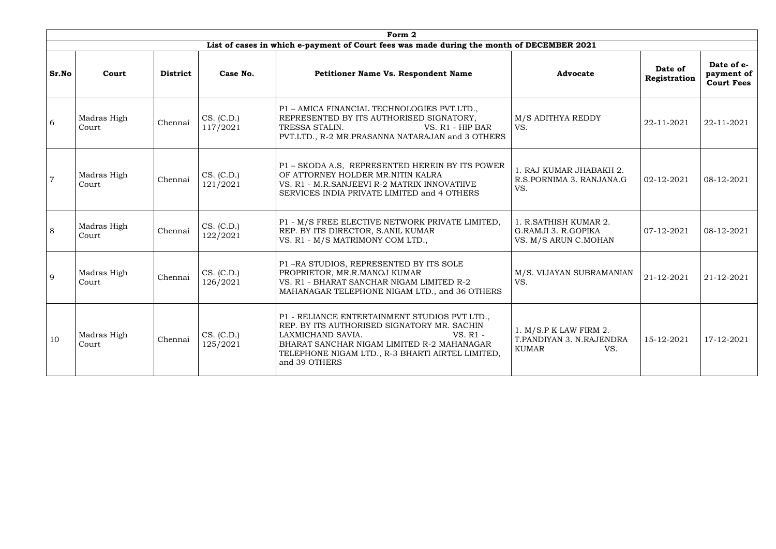|                | Form 2               |                 |                        |                                                                                                                                                                                                                                                    |                                                                           |                         |                                               |  |  |  |  |  |
|----------------|----------------------|-----------------|------------------------|----------------------------------------------------------------------------------------------------------------------------------------------------------------------------------------------------------------------------------------------------|---------------------------------------------------------------------------|-------------------------|-----------------------------------------------|--|--|--|--|--|
|                |                      |                 |                        | List of cases in which e-payment of Court fees was made during the month of DECEMBER 2021                                                                                                                                                          |                                                                           |                         |                                               |  |  |  |  |  |
| Sr.No          | Court                | <b>District</b> | Case No.               | Petitioner Name Vs. Respondent Name                                                                                                                                                                                                                | <b>Advocate</b>                                                           | Date of<br>Registration | Date of e-<br>payment of<br><b>Court Fees</b> |  |  |  |  |  |
| 6              | Madras High<br>Court | Chennai         | CS. (C.D.)<br>117/2021 | P1 - AMICA FINANCIAL TECHNOLOGIES PVT.LTD.,<br>REPRESENTED BY ITS AUTHORISED SIGNATORY,<br>TRESSA STALIN.<br>VS. R1 - HIP BAR<br>PVT.LTD., R-2 MR.PRASANNA NATARAJAN and 3 OTHERS                                                                  | M/S ADITHYA REDDY<br>VS.                                                  | 22-11-2021              | 22-11-2021                                    |  |  |  |  |  |
| $\overline{7}$ | Madras High<br>Court | Chennai         | CS. (C.D.)<br>121/2021 | P1 - SKODA A.S, REPRESENTED HEREIN BY ITS POWER<br>OF ATTORNEY HOLDER MR.NITIN KALRA<br>VS. R1 - M.R.SANJEEVI R-2 MATRIX INNOVATIIVE<br>SERVICES INDIA PRIVATE LIMITED and 4 OTHERS                                                                | 1. RAJ KUMAR JHABAKH 2.<br>R.S.PORNIMA 3. RANJANA.G<br>VS.                | 02-12-2021              | 08-12-2021                                    |  |  |  |  |  |
| 8              | Madras High<br>Court | Chennai         | CS. (C.D.)<br>122/2021 | P1 - M/S FREE ELECTIVE NETWORK PRIVATE LIMITED,<br>REP. BY ITS DIRECTOR, S.ANIL KUMAR<br>VS. R1 - M/S MATRIMONY COM LTD.,                                                                                                                          | 1. R.SATHISH KUMAR 2.<br>G.RAMJI 3. R.GOPIKA<br>VS. M/S ARUN C.MOHAN      | 07-12-2021              | 08-12-2021                                    |  |  |  |  |  |
| 9              | Madras High<br>Court | Chennai         | CS. (C.D.)<br>126/2021 | P1-RA STUDIOS, REPRESENTED BY ITS SOLE<br>PROPRIETOR, MR.R.MANOJ KUMAR<br>VS. R1 - BHARAT SANCHAR NIGAM LIMITED R-2<br>MAHANAGAR TELEPHONE NIGAM LTD., and 36 OTHERS                                                                               | M/S. VIJAYAN SUBRAMANIAN<br>VS.                                           | 21-12-2021              | 21-12-2021                                    |  |  |  |  |  |
| 10             | Madras High<br>Court | Chennai         | CS. (C.D.)<br>125/2021 | P1 - RELIANCE ENTERTAINMENT STUDIOS PVT LTD.,<br>REP. BY ITS AUTHORISED SIGNATORY MR. SACHIN<br>$VS. R1 -$<br>LAXMICHAND SAVIA.<br>BHARAT SANCHAR NIGAM LIMITED R-2 MAHANAGAR<br>TELEPHONE NIGAM LTD., R-3 BHARTI AIRTEL LIMITED,<br>and 39 OTHERS | 1. M/S.P K LAW FIRM 2.<br>T.PANDIYAN 3. N.RAJENDRA<br><b>KUMAR</b><br>VS. | 15-12-2021              | 17-12-2021                                    |  |  |  |  |  |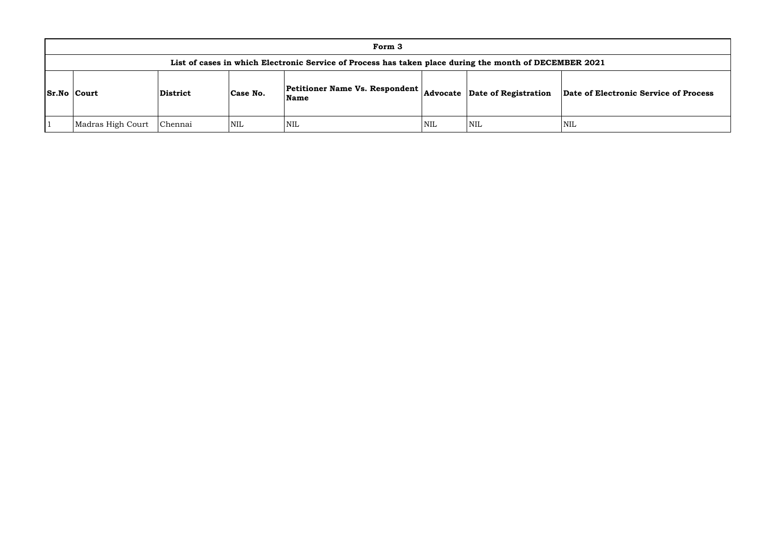| Form 3                                                                                                 |                 |            |                                                 |            |                               |             |  |  |  |
|--------------------------------------------------------------------------------------------------------|-----------------|------------|-------------------------------------------------|------------|-------------------------------|-------------|--|--|--|
| List of cases in which Electronic Service of Process has taken place during the month of DECEMBER 2021 |                 |            |                                                 |            |                               |             |  |  |  |
| <b>Sr.No Court</b>                                                                                     | <b>District</b> | Case No.   | <b>Petitioner Name Vs. Respondent</b>  <br>Name |            | Advocate Date of Registration | Date of Ele |  |  |  |
| Madras High Court                                                                                      | Chennai         | <b>NIL</b> | <b>NIL</b>                                      | <b>NIL</b> | <b>NIL</b>                    | <b>NIL</b>  |  |  |  |

### **Name Advocate Date of Registration Date of Electronic Service of Process**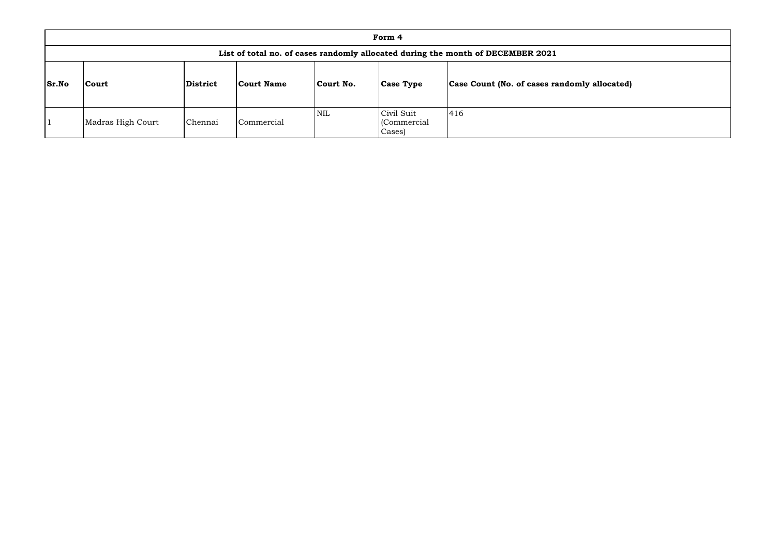|              |                                                                                 |                 |                   |            | Form 4                               |                                              |  |  |  |  |
|--------------|---------------------------------------------------------------------------------|-----------------|-------------------|------------|--------------------------------------|----------------------------------------------|--|--|--|--|
|              | List of total no. of cases randomly allocated during the month of DECEMBER 2021 |                 |                   |            |                                      |                                              |  |  |  |  |
| <b>Sr.No</b> | <b>Court</b>                                                                    | <b>District</b> | <b>Court Name</b> | Court No.  | <b>Case Type</b>                     | Case Count (No. of cases randomly allocated) |  |  |  |  |
|              | Madras High Court                                                               | Chennai         | Commercial        | <b>NIL</b> | Civil Suit<br>(Commercial)<br>Cases) | 416                                          |  |  |  |  |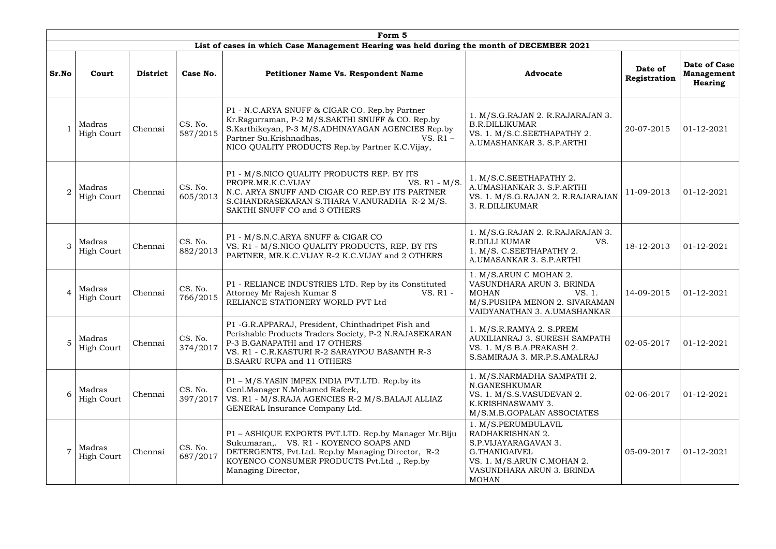|                |                             |                 |                     | Form 5                                                                                                                                                                                                                                               |                                                                                                                                                             |                         |                                                     |
|----------------|-----------------------------|-----------------|---------------------|------------------------------------------------------------------------------------------------------------------------------------------------------------------------------------------------------------------------------------------------------|-------------------------------------------------------------------------------------------------------------------------------------------------------------|-------------------------|-----------------------------------------------------|
|                |                             |                 |                     | List of cases in which Case Management Hearing was held during the month of DECEMBER 2021                                                                                                                                                            |                                                                                                                                                             |                         |                                                     |
| Sr.No          | Court                       | <b>District</b> | Case No.            | <b>Petitioner Name Vs. Respondent Name</b>                                                                                                                                                                                                           | <b>Advocate</b>                                                                                                                                             | Date of<br>Registration | Date of Case<br><b>Management</b><br><b>Hearing</b> |
|                | Madras<br>High Court        | Chennai         | CS. No.<br>587/2015 | P1 - N.C.ARYA SNUFF & CIGAR CO. Rep.by Partner<br>Kr.Ragurraman, P-2 M/S.SAKTHI SNUFF & CO. Rep.by<br>S.Karthikeyan, P-3 M/S.ADHINAYAGAN AGENCIES Rep.by<br>Partner Su.Krishnadhas,<br>VS. $R1 -$<br>NICO QUALITY PRODUCTS Rep.by Partner K.C.Vijay, | 1. M/S.G.RAJAN 2. R.RAJARAJAN 3.<br><b>B.R.DILLIKUMAR</b><br>VS. 1. M/S.C.SEETHAPATHY 2.<br>A.UMASHANKAR 3. S.P.ARTHI                                       | 20-07-2015              | 01-12-2021                                          |
| $\overline{2}$ | Madras<br><b>High Court</b> | Chennai         | CS. No.<br>605/2013 | P1 - M/S.NICO QUALITY PRODUCTS REP. BY ITS<br>VS. $R1 - M/S$ .<br>PROPR.MR.K.C.VIJAY<br>N.C. ARYA SNUFF AND CIGAR CO REP.BY ITS PARTNER<br>S.CHANDRASEKARAN S.THARA V.ANURADHA R-2 M/S.<br>SAKTHI SNUFF CO and 3 OTHERS                              | 1. M/S.C.SEETHAPATHY 2.<br>A.UMASHANKAR 3. S.P.ARTHI<br>VS. 1. M/S.G.RAJAN 2. R.RAJARAJAN<br>3. R.DILLIKUMAR                                                | 11-09-2013              | 01-12-2021                                          |
| 3              | Madras<br><b>High Court</b> | Chennai         | CS. No.<br>882/2013 | P1 - M/S.N.C.ARYA SNUFF & CIGAR CO<br>VS. R1 - M/S.NICO QUALITY PRODUCTS, REP. BY ITS<br>PARTNER, MR.K.C.VIJAY R-2 K.C.VIJAY and 2 OTHERS                                                                                                            | 1. M/S.G.RAJAN 2. R.RAJARAJAN 3.<br><b>R.DILLI KUMAR</b><br>VS.<br>1. M/S. C.SEETHAPATHY 2.<br>A.UMASANKAR 3. S.P.ARTHI                                     | 18-12-2013              | 01-12-2021                                          |
| $\overline{4}$ | Madras<br><b>High Court</b> | Chennai         | CS. No.<br>766/2015 | P1 - RELIANCE INDUSTRIES LTD. Rep by its Constituted<br>Attorney Mr Rajesh Kumar S<br>VS. R1 -<br>RELIANCE STATIONERY WORLD PVT Ltd                                                                                                                  | 1. M/S.ARUN C MOHAN 2.<br>VASUNDHARA ARUN 3. BRINDA<br><b>MOHAN</b><br>VS. 1.<br>M/S.PUSHPA MENON 2. SIVARAMAN<br>VAIDYANATHAN 3. A.UMASHANKAR              | 14-09-2015              | 01-12-2021                                          |
| 5              | Madras<br><b>High Court</b> | Chennai         | CS. No.<br>374/2017 | P1 - G.R.APPARAJ, President, Chinthadripet Fish and<br>Perishable Products Traders Society, P-2 N.RAJASEKARAN<br>P-3 B.GANAPATHI and 17 OTHERS<br>VS. R1 - C.R.KASTURI R-2 SARAYPOU BASANTH R-3<br><b>B.SAARU RUPA and 11 OTHERS</b>                 | 1. M/S.R.RAMYA 2. S.PREM<br><b>AUXILIANRAJ 3. SURESH SAMPATH</b><br>VS. 1. M/S B.A.PRAKASH 2.<br>S.SAMIRAJA 3. MR.P.S.AMALRAJ                               | 02-05-2017              | 01-12-2021                                          |
| 6              | Madras<br><b>High Court</b> | Chennai         | CS. No.<br>397/2017 | P1 – M/S.YASIN IMPEX INDIA PVT.LTD. Rep.by its<br>Genl.Manager N.Mohamed Rafeek,<br>VS. R1 - M/S.RAJA AGENCIES R-2 M/S.BALAJI ALLIAZ<br>GENERAL Insurance Company Ltd.                                                                               | 1. M/S.NARMADHA SAMPATH 2.<br>N.GANESHKUMAR<br>VS. 1. M/S.S.VASUDEVAN 2.<br>K.KRISHNASWAMY 3.<br>M/S.M.B.GOPALAN ASSOCIATES                                 | 02-06-2017              | 01-12-2021                                          |
| $\overline{7}$ | Madras<br><b>High Court</b> | Chennai         | CS. No.<br>687/2017 | P1 - ASHIQUE EXPORTS PVT.LTD. Rep.by Manager Mr.Biju<br>Sukumaran, VS. R1 - KOYENCO SOAPS AND<br>DETERGENTS, Pvt.Ltd. Rep.by Managing Director, R-2<br>KOYENCO CONSUMER PRODUCTS Pvt. Ltd., Rep.by<br>Managing Director,                             | 1. M/S.PERUMBULAVIL<br>RADHAKRISHNAN 2.<br>S.P.VIJAYARAGAVAN 3.<br>G.THANIGAIVEL<br>VS. 1. M/S.ARUN C.MOHAN 2.<br>VASUNDHARA ARUN 3. BRINDA<br><b>MOHAN</b> | 05-09-2017              | 01-12-2021                                          |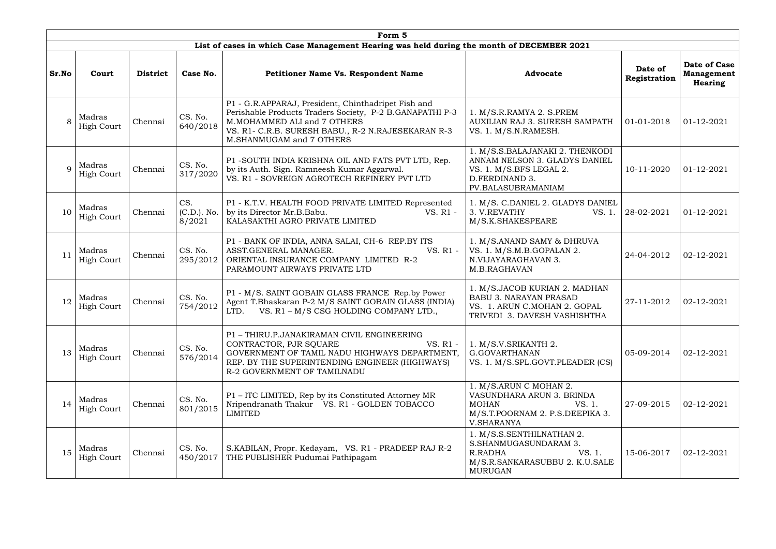|                |                             |                 |                                | Form 5                                                                                                                                                                                                                           |                                                                                                                                     |                         |                                                     |
|----------------|-----------------------------|-----------------|--------------------------------|----------------------------------------------------------------------------------------------------------------------------------------------------------------------------------------------------------------------------------|-------------------------------------------------------------------------------------------------------------------------------------|-------------------------|-----------------------------------------------------|
|                |                             |                 |                                | List of cases in which Case Management Hearing was held during the month of DECEMBER 2021                                                                                                                                        |                                                                                                                                     |                         |                                                     |
| Sr.No          | Court                       | <b>District</b> | Case No.                       | <b>Petitioner Name Vs. Respondent Name</b>                                                                                                                                                                                       | <b>Advocate</b>                                                                                                                     | Date of<br>Registration | Date of Case<br><b>Management</b><br><b>Hearing</b> |
| 8              | Madras<br><b>High Court</b> | Chennai         | CS. No.<br>640/2018            | P1 - G.R.APPARAJ, President, Chinthadripet Fish and<br>Perishable Products Traders Society, P-2 B.GANAPATHI P-3<br>M.MOHAMMED ALI and 7 OTHERS<br>VS. R1- C.R.B. SURESH BABU., R-2 N.RAJESEKARAN R-3<br>M.SHANMUGAM and 7 OTHERS | 1. M/S.R.RAMYA 2. S.PREM<br>AUXILIAN RAJ 3. SURESH SAMPATH<br>VS. 1. M/S.N.RAMESH.                                                  | 01-01-2018              | 01-12-2021                                          |
| $\overline{Q}$ | Madras<br><b>High Court</b> | Chennai         | CS. No.<br>317/2020            | P1 -SOUTH INDIA KRISHNA OIL AND FATS PVT LTD, Rep.<br>by its Auth. Sign. Ramneesh Kumar Aggarwal.<br>VS. R1 - SOVREIGN AGROTECH REFINERY PVT LTD                                                                                 | 1. M/S.S.BALAJANAKI 2. THENKODI<br>ANNAM NELSON 3. GLADYS DANIEL<br>VS. 1. M/S.BFS LEGAL 2.<br>D.FERDINAND 3.<br>PV.BALASUBRAMANIAM | 10-11-2020              | 01-12-2021                                          |
| 10             | Madras<br><b>High Court</b> | Chennai         | CS.<br>$(C.D.).$ No.<br>8/2021 | P1 - K.T.V. HEALTH FOOD PRIVATE LIMITED Represented<br>by its Director Mr.B.Babu.<br>VS. R1 -<br>KALASAKTHI AGRO PRIVATE LIMITED                                                                                                 | 1. M/S. C.DANIEL 2. GLADYS DANIEL<br>3. V.REVATHY<br>VS. 1.<br>M/S.K.SHAKESPEARE                                                    | 28-02-2021              | 01-12-2021                                          |
| 11             | Madras<br><b>High Court</b> | Chennai         | CS. No.<br>295/2012            | P1 - BANK OF INDIA, ANNA SALAI, CH-6 REP.BY ITS<br>ASST.GENERAL MANAGER.<br>VS. R1 -<br>ORIENTAL INSURANCE COMPANY LIMITED R-2<br>PARAMOUNT AIRWAYS PRIVATE LTD                                                                  | 1. M/S.ANAND SAMY & DHRUVA<br>VS. 1. M/S.M.B.GOPALAN 2.<br>N.VIJAYARAGHAVAN 3.<br>M.B.RAGHAVAN                                      | 24-04-2012              | 02-12-2021                                          |
| 12             | Madras<br><b>High Court</b> | Chennai         | CS. No.<br>754/2012            | P1 - M/S. SAINT GOBAIN GLASS FRANCE Rep.by Power<br>Agent T.Bhaskaran P-2 M/S SAINT GOBAIN GLASS (INDIA)<br>VS. R1 - M/S CSG HOLDING COMPANY LTD.,<br>LTD.                                                                       | 1. M/S.JACOB KURIAN 2. MADHAN<br><b>BABU 3. NARAYAN PRASAD</b><br>VS. 1. ARUN C.MOHAN 2. GOPAL<br>TRIVEDI 3. DAVESH VASHISHTHA      | 27-11-2012              | 02-12-2021                                          |
| 13             | Madras<br><b>High Court</b> | Chennai         | CS. No.<br>576/2014            | P1 - THIRU.P.JANAKIRAMAN CIVIL ENGINEERING<br>CONTRACTOR, PJR SQUARE<br>VS. R1 -<br>GOVERNMENT OF TAMIL NADU HIGHWAYS DEPARTMENT,<br>REP. BY THE SUPERINTENDING ENGINEER (HIGHWAYS)<br>R-2 GOVERNMENT OF TAMILNADU               | 1. M/S.V.SRIKANTH 2.<br>G.GOVARTHANAN<br>VS. 1. M/S.SPL.GOVT.PLEADER (CS)                                                           | 05-09-2014              | 02-12-2021                                          |
| 14             | Madras<br>High Court        | Chennai         | CS. No.<br>801/2015            | P1 – ITC LIMITED, Rep by its Constituted Attorney MR<br>Nripendranath Thakur VS. R1 - GOLDEN TOBACCO<br><b>LIMITED</b>                                                                                                           | 1. M/S.ARUN C MOHAN 2.<br>VASUNDHARA ARUN 3. BRINDA<br><b>MOHAN</b><br>VS. 1.<br>M/S.T.POORNAM 2. P.S.DEEPIKA 3.<br>V.SHARANYA      | 27-09-2015              | 02-12-2021                                          |
| 15             | Madras<br><b>High Court</b> | Chennai         | CS. No.<br>450/2017            | S.KABILAN, Propr. Kedayam, VS. R1 - PRADEEP RAJ R-2<br>THE PUBLISHER Pudumai Pathipagam                                                                                                                                          | 1. M/S.S.SENTHILNATHAN 2.<br>S.SHANMUGASUNDARAM 3.<br>VS. 1.<br>R.RADHA<br>M/S.R.SANKARASUBBU 2. K.U.SALE<br><b>MURUGAN</b>         | 15-06-2017              | 02-12-2021                                          |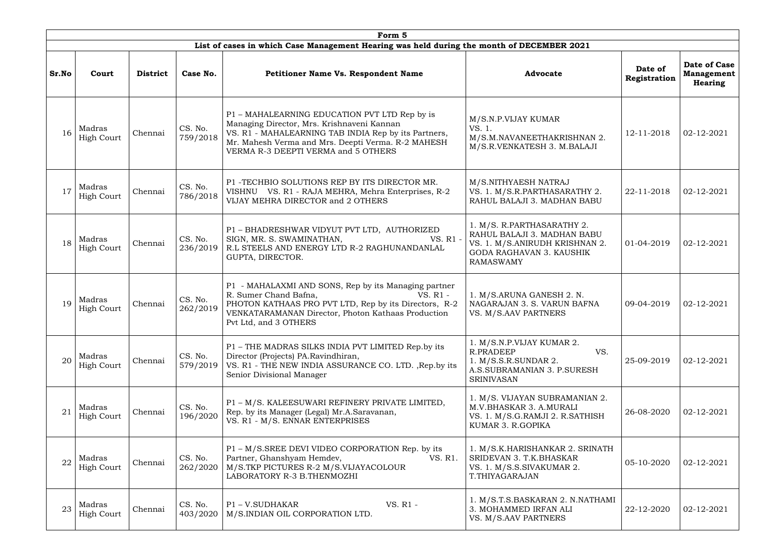|       | Form 5                      |                 |                     |                                                                                                                                                                                                                                                  |                                                                                                                                             |                         |                                                     |  |  |  |  |
|-------|-----------------------------|-----------------|---------------------|--------------------------------------------------------------------------------------------------------------------------------------------------------------------------------------------------------------------------------------------------|---------------------------------------------------------------------------------------------------------------------------------------------|-------------------------|-----------------------------------------------------|--|--|--|--|
|       |                             |                 |                     | List of cases in which Case Management Hearing was held during the month of DECEMBER 2021                                                                                                                                                        |                                                                                                                                             |                         |                                                     |  |  |  |  |
| Sr.No | Court                       | <b>District</b> | Case No.            | Petitioner Name Vs. Respondent Name                                                                                                                                                                                                              | <b>Advocate</b>                                                                                                                             | Date of<br>Registration | Date of Case<br><b>Management</b><br><b>Hearing</b> |  |  |  |  |
| 16    | Madras<br><b>High Court</b> | Chennai         | CS. No.<br>759/2018 | P1 - MAHALEARNING EDUCATION PVT LTD Rep by is<br>Managing Director, Mrs. Krishnaveni Kannan<br>VS. R1 - MAHALEARNING TAB INDIA Rep by its Partners,<br>Mr. Mahesh Verma and Mrs. Deepti Verma. R-2 MAHESH<br>VERMA R-3 DEEPTI VERMA and 5 OTHERS | M/S.N.P.VIJAY KUMAR<br>VS. 1.<br>M/S.M.NAVANEETHAKRISHNAN 2.<br>M/S.R.VENKATESH 3. M.BALAJI                                                 | 12-11-2018              | 02-12-2021                                          |  |  |  |  |
| 17    | Madras<br><b>High Court</b> | Chennai         | CS. No.<br>786/2018 | P1 - TECHBIO SOLUTIONS REP BY ITS DIRECTOR MR.<br>VISHNU VS. R1 - RAJA MEHRA, Mehra Enterprises, R-2<br>VIJAY MEHRA DIRECTOR and 2 OTHERS                                                                                                        | M/S.NITHYAESH NATRAJ<br>VS. 1. M/S.R.PARTHASARATHY 2.<br>RAHUL BALAJI 3. MADHAN BABU                                                        | 22-11-2018              | 02-12-2021                                          |  |  |  |  |
| 18    | Madras<br>High Court        | Chennai         | CS. No.<br>236/2019 | P1 - BHADRESHWAR VIDYUT PVT LTD, AUTHORIZED<br>SIGN, MR. S. SWAMINATHAN,<br>VS. R1 -<br>R.L STEELS AND ENERGY LTD R-2 RAGHUNANDANLAL<br>GUPTA, DIRECTOR.                                                                                         | 1. M/S. R.PARTHASARATHY 2.<br>RAHUL BALAJI 3. MADHAN BABU<br>VS. 1. M/S.ANIRUDH KRISHNAN 2.<br>GODA RAGHAVAN 3. KAUSHIK<br><b>RAMASWAMY</b> | 01-04-2019              | 02-12-2021                                          |  |  |  |  |
| 19    | Madras<br><b>High Court</b> | Chennai         | CS. No.<br>262/2019 | P1 - MAHALAXMI AND SONS, Rep by its Managing partner<br>R. Sumer Chand Bafna,<br>VS. R1 -<br>PHOTON KATHAAS PRO PVT LTD, Rep by its Directors, R-2<br>VENKATARAMANAN Director, Photon Kathaas Production<br>Pvt Ltd, and 3 OTHERS                | 1. M/S.ARUNA GANESH 2. N.<br>NAGARAJAN 3. S. VARUN BAFNA<br>VS. M/S.AAV PARTNERS                                                            | 09-04-2019              | 02-12-2021                                          |  |  |  |  |
| 20    | Madras<br><b>High Court</b> | Chennai         | CS. No.<br>579/2019 | P1 - THE MADRAS SILKS INDIA PVT LIMITED Rep.by its<br>Director (Projects) PA.Ravindhiran,<br>VS. R1 - THE NEW INDIA ASSURANCE CO. LTD. , Rep.by its<br>Senior Divisional Manager                                                                 | 1. M/S.N.P.VIJAY KUMAR 2.<br>R.PRADEEP<br>VS.<br>1. M/S.S.R.SUNDAR 2.<br>A.S.SUBRAMANIAN 3. P.SURESH<br><b>SRINIVASAN</b>                   | 25-09-2019              | 02-12-2021                                          |  |  |  |  |
| 21    | Madras<br><b>High Court</b> | Chennai         | CS. No.<br>196/2020 | P1 - M/S. KALEESUWARI REFINERY PRIVATE LIMITED,<br>Rep. by its Manager (Legal) Mr.A.Saravanan,<br>VS. R1 - M/S. ENNAR ENTERPRISES                                                                                                                | 1. M/S. VIJAYAN SUBRAMANIAN 2.<br>M.V.BHASKAR 3. A.MURALI<br>VS. 1. M/S.G.RAMJI 2. R.SATHISH<br>KUMAR 3. R.GOPIKA                           | 26-08-2020              | 02-12-2021                                          |  |  |  |  |
| 22    | Madras<br>High Court        | Chennai         | CS. No.<br>262/2020 | P1 – M/S.SREE DEVI VIDEO CORPORATION Rep. by its<br>Partner, Ghanshyam Hemdev,<br>VS. R1.<br>M/S.TKP PICTURES R-2 M/S.VIJAYACOLOUR<br>LABORATORY R-3 B.THENMOZHI                                                                                 | 1. M/S.K.HARISHANKAR 2. SRINATH<br>SRIDEVAN 3. T.K.BHASKAR<br>VS. 1. M/S.S.SIVAKUMAR 2.<br>T.THIYAGARAJAN                                   | 05-10-2020              | 02-12-2021                                          |  |  |  |  |
| 23    | Madras<br><b>High Court</b> | Chennai         | CS. No.<br>403/2020 | VS. R1 -<br>P1-V.SUDHAKAR<br>M/S.INDIAN OIL CORPORATION LTD.                                                                                                                                                                                     | 1. M/S.T.S.BASKARAN 2. N.NATHAMI<br>3. MOHAMMED IRFAN ALI<br>VS. M/S.AAV PARTNERS                                                           | 22-12-2020              | 02-12-2021                                          |  |  |  |  |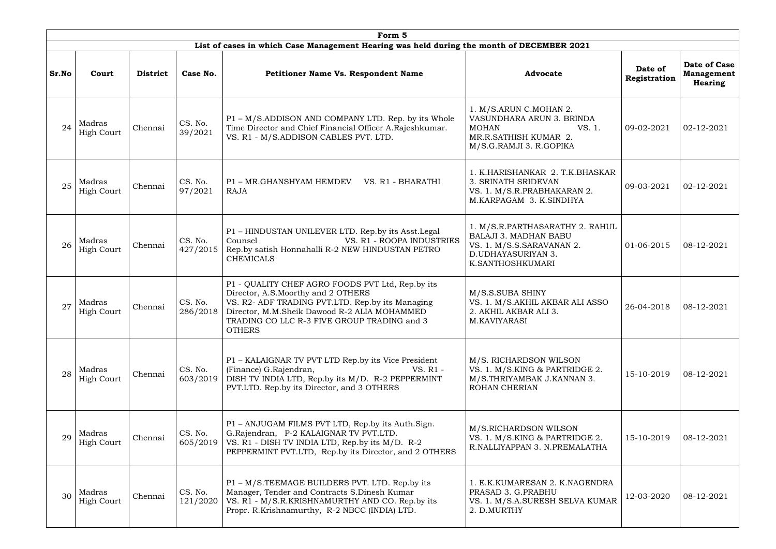|       | Form 5                      |                 |                     |                                                                                                                                                                                                                                                            |                                                                                                                                        |                         |                                                     |  |  |  |
|-------|-----------------------------|-----------------|---------------------|------------------------------------------------------------------------------------------------------------------------------------------------------------------------------------------------------------------------------------------------------------|----------------------------------------------------------------------------------------------------------------------------------------|-------------------------|-----------------------------------------------------|--|--|--|
|       |                             |                 |                     | List of cases in which Case Management Hearing was held during the month of DECEMBER 2021                                                                                                                                                                  |                                                                                                                                        |                         |                                                     |  |  |  |
| Sr.No | Court                       | <b>District</b> | Case No.            | <b>Petitioner Name Vs. Respondent Name</b>                                                                                                                                                                                                                 | <b>Advocate</b>                                                                                                                        | Date of<br>Registration | Date of Case<br><b>Management</b><br><b>Hearing</b> |  |  |  |
| 24    | Madras<br><b>High Court</b> | Chennai         | CS. No.<br>39/2021  | P1 - M/S.ADDISON AND COMPANY LTD. Rep. by its Whole<br>Time Director and Chief Financial Officer A.Rajeshkumar.<br>VS. R1 - M/S.ADDISON CABLES PVT. LTD.                                                                                                   | 1. M/S.ARUN C.MOHAN 2.<br>VASUNDHARA ARUN 3. BRINDA<br><b>MOHAN</b><br>VS. 1.<br>MR.R.SATHISH KUMAR 2.<br>M/S.G.RAMJI 3. R.GOPIKA      | 09-02-2021              | 02-12-2021                                          |  |  |  |
| 25    | Madras<br><b>High Court</b> | Chennai         | CS. No.<br>97/2021  | P1 - MR.GHANSHYAM HEMDEV<br>VS. R1 - BHARATHI<br><b>RAJA</b>                                                                                                                                                                                               | 1. K.HARISHANKAR 2. T.K.BHASKAR<br>3. SRINATH SRIDEVAN<br>VS. 1. M/S.R.PRABHAKARAN 2.<br>M.KARPAGAM 3. K.SINDHYA                       | 09-03-2021              | 02-12-2021                                          |  |  |  |
| 26    | Madras<br><b>High Court</b> | Chennai         | CS. No.<br>427/2015 | P1 - HINDUSTAN UNILEVER LTD. Rep.by its Asst.Legal<br>VS. R1 - ROOPA INDUSTRIES<br>Counsel<br>Rep.by satish Honnahalli R-2 NEW HINDUSTAN PETRO<br><b>CHEMICALS</b>                                                                                         | 1. M/S.R.PARTHASARATHY 2. RAHUL<br><b>BALAJI 3. MADHAN BABU</b><br>VS. 1. M/S.S.SARAVANAN 2.<br>D.UDHAYASURIYAN 3.<br>K.SANTHOSHKUMARI | 01-06-2015              | 08-12-2021                                          |  |  |  |
| 27    | Madras<br><b>High Court</b> | Chennai         | CS. No.<br>286/2018 | P1 - QUALITY CHEF AGRO FOODS PVT Ltd, Rep.by its<br>Director, A.S.Moorthy and 2 OTHERS<br>VS. R2- ADF TRADING PVT.LTD. Rep.by its Managing<br>Director, M.M.Sheik Dawood R-2 ALIA MOHAMMED<br>TRADING CO LLC R-3 FIVE GROUP TRADING and 3<br><b>OTHERS</b> | M/S.S.SUBA SHINY<br>VS. 1. M/S.AKHIL AKBAR ALI ASSO<br>2. AKHIL AKBAR ALI 3.<br>M.KAVIYARASI                                           | 26-04-2018              | 08-12-2021                                          |  |  |  |
| 28    | Madras<br><b>High Court</b> | Chennai         | CS. No.<br>603/2019 | P1 - KALAIGNAR TV PVT LTD Rep.by its Vice President<br>(Finance) G.Rajendran,<br>VS. R1 -<br>DISH TV INDIA LTD, Rep.by its M/D. R-2 PEPPERMINT<br>PVT.LTD. Rep.by its Director, and 3 OTHERS                                                               | M/S. RICHARDSON WILSON<br>VS. 1. M/S.KING & PARTRIDGE 2.<br>M/S.THRIYAMBAK J.KANNAN 3.<br>ROHAN CHERIAN                                | 15-10-2019              | 08-12-2021                                          |  |  |  |
| 29    | Madras<br><b>High Court</b> | Chennai         | CS. No.<br>605/2019 | P1 – ANJUGAM FILMS PVT LTD, Rep.by its Auth.Sign.<br>G.Rajendran, P-2 KALAIGNAR TV PVT.LTD.<br>VS. R1 - DISH TV INDIA LTD, Rep.by its M/D. R-2<br>PEPPERMINT PVT.LTD, Rep.by its Director, and 2 OTHERS                                                    | M/S.RICHARDSON WILSON<br>VS. 1. M/S.KING & PARTRIDGE 2.<br>R.NALLIYAPPAN 3. N.PREMALATHA                                               | 15-10-2019              | 08-12-2021                                          |  |  |  |
| 30    | Madras<br><b>High Court</b> | Chennai         | CS. No.<br>121/2020 | P1 – M/S.TEEMAGE BUILDERS PVT. LTD. Rep.by its<br>Manager, Tender and Contracts S.Dinesh Kumar<br>VS. R1 - M/S.R.KRISHNAMURTHY AND CO. Rep.by its<br>Propr. R.Krishnamurthy, R-2 NBCC (INDIA) LTD.                                                         | 1. E.K.KUMARESAN 2. K.NAGENDRA<br>PRASAD 3. G.PRABHU<br>VS. 1. M/S.A.SURESH SELVA KUMAR<br>2. D.MURTHY                                 | 12-03-2020              | 08-12-2021                                          |  |  |  |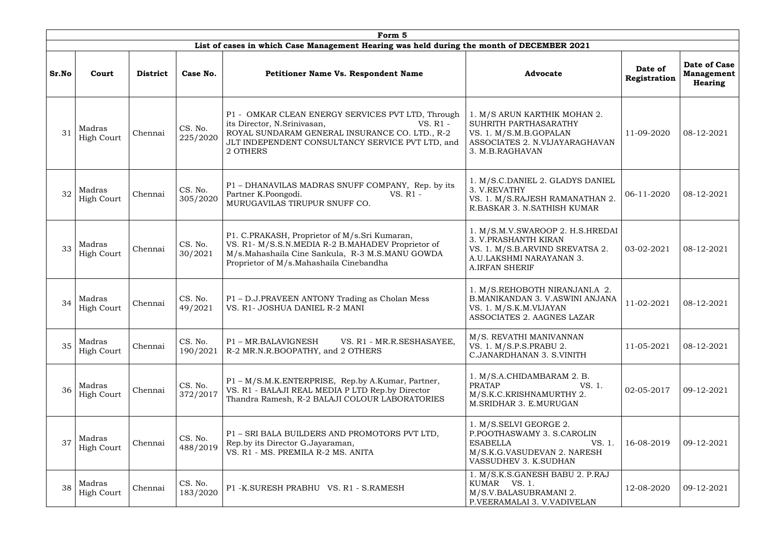|                 | Form 5                      |                 |                     |                                                                                                                                                                                                                |                                                                                                                                                  |                         |                                                     |  |  |  |  |
|-----------------|-----------------------------|-----------------|---------------------|----------------------------------------------------------------------------------------------------------------------------------------------------------------------------------------------------------------|--------------------------------------------------------------------------------------------------------------------------------------------------|-------------------------|-----------------------------------------------------|--|--|--|--|
|                 |                             |                 |                     | List of cases in which Case Management Hearing was held during the month of DECEMBER 2021                                                                                                                      |                                                                                                                                                  |                         |                                                     |  |  |  |  |
| Sr.No           | Court                       | <b>District</b> | Case No.            | <b>Petitioner Name Vs. Respondent Name</b>                                                                                                                                                                     | <b>Advocate</b>                                                                                                                                  | Date of<br>Registration | Date of Case<br><b>Management</b><br><b>Hearing</b> |  |  |  |  |
| $\overline{31}$ | Madras<br>High Court        | Chennai         | CS. No.<br>225/2020 | P1 - OMKAR CLEAN ENERGY SERVICES PVT LTD, Through<br>its Director, N.Srinivasan,<br>VS. R1 -<br>ROYAL SUNDARAM GENERAL INSURANCE CO. LTD., R-2<br>JLT INDEPENDENT CONSULTANCY SERVICE PVT LTD, and<br>2 OTHERS | 1. M/S ARUN KARTHIK MOHAN 2.<br>SUHRITH PARTHASARATHY<br>VS. 1. M/S.M.B.GOPALAN<br>ASSOCIATES 2. N.VIJAYARAGHAVAN<br>3. M.B.RAGHAVAN             | 11-09-2020              | 08-12-2021                                          |  |  |  |  |
| 32              | Madras<br>High Court        | Chennai         | CS. No.<br>305/2020 | P1 - DHANAVILAS MADRAS SNUFF COMPANY, Rep. by its<br>Partner K.Poongodi.<br>VS. R1 -<br>MURUGAVILAS TIRUPUR SNUFF CO.                                                                                          | 1. M/S.C.DANIEL 2. GLADYS DANIEL<br>3. V.REVATHY<br>VS. 1. M/S.RAJESH RAMANATHAN 2.<br>R.BASKAR 3. N.SATHISH KUMAR                               | 06-11-2020              | 08-12-2021                                          |  |  |  |  |
| 33              | Madras<br>High Court        | Chennai         | CS. No.<br>30/2021  | P1. C.PRAKASH, Proprietor of M/s.Sri Kumaran,<br>VS. R1- M/S.S.N.MEDIA R-2 B.MAHADEV Proprietor of<br>M/s.Mahashaila Cine Sankula, R-3 M.S.MANU GOWDA<br>Proprietor of M/s.Mahashaila Cinebandha               | 1. M/S.M.V.SWAROOP 2. H.S.HREDAI<br>3. V.PRASHANTH KIRAN<br>VS. 1. M/S.B.ARVIND SREVATSA 2.<br>A.U.LAKSHMI NARAYANAN 3.<br><b>A.IRFAN SHERIF</b> | 03-02-2021              | 08-12-2021                                          |  |  |  |  |
| 34              | Madras<br>High Court        | Chennai         | CS. No.<br>49/2021  | P1 - D.J.PRAVEEN ANTONY Trading as Cholan Mess<br>VS. R1- JOSHUA DANIEL R-2 MANI                                                                                                                               | 1. M/S.REHOBOTH NIRANJANI.A 2.<br><b>B.MANIKANDAN 3. V.ASWINI ANJANA</b><br>VS. 1. M/S.K.M.VIJAYAN<br>ASSOCIATES 2. AAGNES LAZAR                 | 11-02-2021              | 08-12-2021                                          |  |  |  |  |
| 35              | Madras<br><b>High Court</b> | Chennai         | CS. No.<br>190/2021 | P1 - MR.BALAVIGNESH<br>VS. R1 - MR.R.SESHASAYEE,<br>R-2 MR.N.R.BOOPATHY, and 2 OTHERS                                                                                                                          | M/S. REVATHI MANIVANNAN<br>VS. 1. M/S.P.S.PRABU 2.<br>C.JANARDHANAN 3. S.VINITH                                                                  | 11-05-2021              | 08-12-2021                                          |  |  |  |  |
| 36              | Madras<br><b>High Court</b> | Chennai         | CS. No.<br>372/2017 | P1 - M/S.M.K.ENTERPRISE, Rep.by A.Kumar, Partner,<br>VS. R1 - BALAJI REAL MEDIA P LTD Rep.by Director<br>Thandra Ramesh, R-2 BALAJI COLOUR LABORATORIES                                                        | 1. M/S.A.CHIDAMBARAM 2. B.<br><b>PRATAP</b><br>VS. 1.<br>M/S.K.C.KRISHNAMURTHY 2.<br>M.SRIDHAR 3. E.MURUGAN                                      | 02-05-2017              | 09-12-2021                                          |  |  |  |  |
| 37              | Madras<br>High Court        | Chennai         | CS. No.<br>488/2019 | P1 - SRI BALA BUILDERS AND PROMOTORS PVT LTD,<br>Rep.by its Director G.Jayaraman,<br>VS. R1 - MS. PREMILA R-2 MS. ANITA                                                                                        | 1. M/S.SELVI GEORGE 2.<br>P.POOTHASWAMY 3. S.CAROLIN<br><b>ESABELLA</b><br>VS. 1.<br>M/S.K.G.VASUDEVAN 2. NARESH<br>VASSUDHEV 3. K.SUDHAN        | 16-08-2019              | 09-12-2021                                          |  |  |  |  |
| 38              | Madras<br>High Court        | Chennai         | CS. No.<br>183/2020 | P1 -K.SURESH PRABHU VS. R1 - S.RAMESH                                                                                                                                                                          | 1. M/S.K.S.GANESH BABU 2. P.RAJ<br>KUMAR VS. 1.<br>M/S.V.BALASUBRAMANI 2.<br>P.VEERAMALAI 3. V.VADIVELAN                                         | 12-08-2020              | 09-12-2021                                          |  |  |  |  |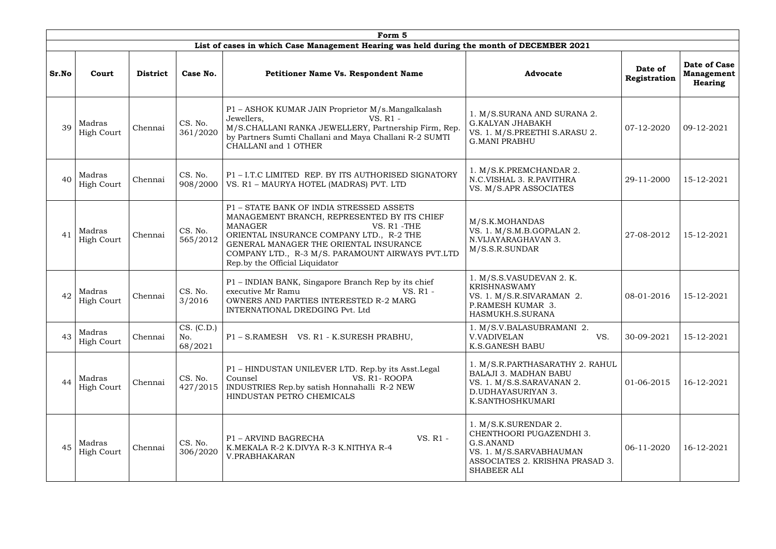|       | Form 5                      |                 |                              |                                                                                                                                                                                                                                                                                                      |                                                                                                                                            |                         |                                              |  |  |  |
|-------|-----------------------------|-----------------|------------------------------|------------------------------------------------------------------------------------------------------------------------------------------------------------------------------------------------------------------------------------------------------------------------------------------------------|--------------------------------------------------------------------------------------------------------------------------------------------|-------------------------|----------------------------------------------|--|--|--|
|       |                             |                 |                              | List of cases in which Case Management Hearing was held during the month of DECEMBER 2021                                                                                                                                                                                                            |                                                                                                                                            |                         |                                              |  |  |  |
| Sr.No | Court                       | <b>District</b> | Case No.                     | <b>Petitioner Name Vs. Respondent Name</b>                                                                                                                                                                                                                                                           | <b>Advocate</b>                                                                                                                            | Date of<br>Registration | Date of Case<br><b>Management</b><br>Hearing |  |  |  |
| 39    | Madras<br><b>High Court</b> | Chennai         | CS. No.<br>361/2020          | P1 - ASHOK KUMAR JAIN Proprietor M/s.Mangalkalash<br>Jewellers,<br>$VS. R1 -$<br>M/S.CHALLANI RANKA JEWELLERY, Partnership Firm, Rep.<br>by Partners Sumti Challani and Maya Challani R-2 SUMTI<br>CHALLANI and 1 OTHER                                                                              | 1. M/S.SURANA AND SURANA 2.<br><b>G.KALYAN JHABAKH</b><br>VS. 1. M/S.PREETHI S.ARASU 2.<br><b>G.MANI PRABHU</b>                            | 07-12-2020              | 09-12-2021                                   |  |  |  |
|       | Madras<br><b>High Court</b> | Chennai         | CS. No.<br>908/2000          | P1-I.T.C LIMITED REP. BY ITS AUTHORISED SIGNATORY<br>VS. R1 - MAURYA HOTEL (MADRAS) PVT. LTD                                                                                                                                                                                                         | 1. M/S.K.PREMCHANDAR 2.<br>N.C.VISHAL 3. R.PAVITHRA<br>VS. M/S.APR ASSOCIATES                                                              | 29-11-2000              | 15-12-2021                                   |  |  |  |
| 41    | Madras<br><b>High Court</b> | Chennai         | CS. No.<br>565/2012          | P1 - STATE BANK OF INDIA STRESSED ASSETS<br>MANAGEMENT BRANCH, REPRESENTED BY ITS CHIEF<br><b>MANAGER</b><br>VS. R1 -THE<br>ORIENTAL INSURANCE COMPANY LTD., R-2 THE<br>GENERAL MANAGER THE ORIENTAL INSURANCE<br>COMPANY LTD., R-3 M/S. PARAMOUNT AIRWAYS PVT.LTD<br>Rep.by the Official Liquidator | M/S.K.MOHANDAS<br>VS. 1. M/S.M.B.GOPALAN 2.<br>N.VIJAYARAGHAVAN 3.<br>M/S.S.R.SUNDAR                                                       | 27-08-2012              | 15-12-2021                                   |  |  |  |
| 42    | Madras<br>High Court        | Chennai         | CS. No.<br>3/2016            | P1 - INDIAN BANK, Singapore Branch Rep by its chief<br>executive Mr Ramu<br>VS. R1 -<br>OWNERS AND PARTIES INTERESTED R-2 MARG<br>INTERNATIONAL DREDGING Pvt. Ltd                                                                                                                                    | 1. M/S.S.VASUDEVAN 2. K.<br><b>KRISHNASWAMY</b><br>VS. 1. M/S.R.SIVARAMAN 2.<br>P.RAMESH KUMAR 3.<br>HASMUKH.S.SURANA                      | 08-01-2016              | 15-12-2021                                   |  |  |  |
| 43    | Madras<br><b>High Court</b> | Chennai         | CS. (C.D.)<br>No.<br>68/2021 | P1-S.RAMESH VS. R1 - K.SURESH PRABHU,                                                                                                                                                                                                                                                                | 1. M/S.V.BALASUBRAMANI 2.<br>VS.<br><b>V.VADIVELAN</b><br><b>K.S.GANESH BABU</b>                                                           | 30-09-2021              | 15-12-2021                                   |  |  |  |
| 44    | Madras<br><b>High Court</b> | Chennai         | CS. No.<br>427/2015          | P1 - HINDUSTAN UNILEVER LTD. Rep.by its Asst.Legal<br>Counsel<br>VS. R1-ROOPA<br>INDUSTRIES Rep.by satish Honnahalli R-2 NEW<br>HINDUSTAN PETRO CHEMICALS                                                                                                                                            | 1. M/S.R.PARTHASARATHY 2. RAHUL<br><b>BALAJI 3. MADHAN BABU</b><br>VS. 1. M/S.S.SARAVANAN 2.<br>D.UDHAYASURIYAN 3.<br>K.SANTHOSHKUMARI     | 01-06-2015              | 16-12-2021                                   |  |  |  |
| 45    | Madras<br><b>High Court</b> | Chennai         | CS. No.<br>306/2020          | VS. R1 -<br>P1 - ARVIND BAGRECHA<br>K.MEKALA R-2 K.DIVYA R-3 K.NITHYA R-4<br>V.PRABHAKARAN                                                                                                                                                                                                           | 1. M/S.K.SURENDAR 2.<br>CHENTHOORI PUGAZENDHI 3.<br>G.S.ANAND<br>VS. 1. M/S.SARVABHAUMAN<br>ASSOCIATES 2. KRISHNA PRASAD 3.<br>SHABEER ALI | 06-11-2020              | 16-12-2021                                   |  |  |  |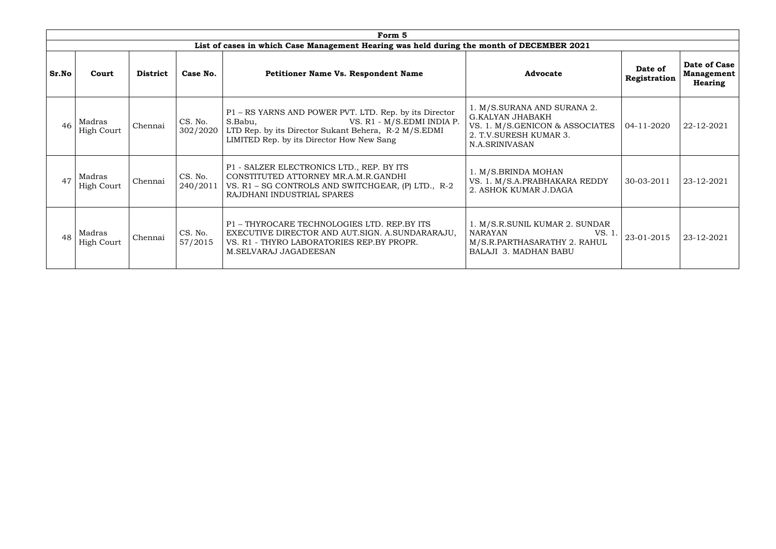|                                   | Form 5                      |                 |                     |                                                                                                                                                                                                      |                                                                                                                                        |                         |                                              |  |  |  |  |
|-----------------------------------|-----------------------------|-----------------|---------------------|------------------------------------------------------------------------------------------------------------------------------------------------------------------------------------------------------|----------------------------------------------------------------------------------------------------------------------------------------|-------------------------|----------------------------------------------|--|--|--|--|
|                                   |                             |                 |                     | List of cases in which Case Management Hearing was held during the month of DECEMBER 2021                                                                                                            |                                                                                                                                        |                         |                                              |  |  |  |  |
| Sr.No                             | Court                       | <b>District</b> | Case No.            | <b>Petitioner Name Vs. Respondent Name</b>                                                                                                                                                           | <b>Advocate</b>                                                                                                                        | Date of<br>Registration | Date of Case<br><b>Management</b><br>Hearing |  |  |  |  |
| 46                                | Madras<br><b>High Court</b> | Chennai         | CS. No.<br>302/2020 | P1 – RS YARNS AND POWER PVT. LTD. Rep. by its Director<br>VS. R1 - M/S.EDMI INDIA P.<br>S.Babu,<br>LTD Rep. by its Director Sukant Behera, R-2 M/S.EDMI<br>LIMITED Rep. by its Director How New Sang | 1. M/S.SURANA AND SURANA 2.<br><b>G.KALYAN JHABAKH</b><br>VS. 1. M/S.GENICON & ASSOCIATES<br>2. T.V. SURESH KUMAR 3.<br>N.A.SRINIVASAN | 04-11-2020              | 22-12-2021                                   |  |  |  |  |
|                                   | Madras<br><b>High Court</b> | Chennai         | CS. No.<br>240/2011 | P1 - SALZER ELECTRONICS LTD., REP. BY ITS<br>CONSTITUTED ATTORNEY MR.A.M.R.GANDHI<br>VS. R1 - SG CONTROLS AND SWITCHGEAR, (P) LTD., R-2<br>RAJDHANI INDUSTRIAL SPARES                                | 1. M/S.BRINDA MOHAN<br>VS. 1. M/S.A.PRABHAKARA REDDY<br>2. ASHOK KUMAR J.DAGA                                                          | 30-03-2011              | 23-12-2021                                   |  |  |  |  |
| Madras<br>48<br><b>High Court</b> |                             | Chennai         | CS. No.<br>57/2015  | P1 - THYROCARE TECHNOLOGIES LTD. REP.BY ITS<br>EXECUTIVE DIRECTOR AND AUT.SIGN. A.SUNDARARAJU,<br>VS. R1 - THYRO LABORATORIES REP.BY PROPR.<br>M.SELVARAJ JAGADEESAN                                 | 1. M/S.R.SUNIL KUMAR 2. SUNDAR<br><b>NARAYAN</b><br>VS. 1<br>M/S.R.PARTHASARATHY 2. RAHUL<br><b>BALAJI 3. MADHAN BABU</b>              | 23-01-2015              | 23-12-2021                                   |  |  |  |  |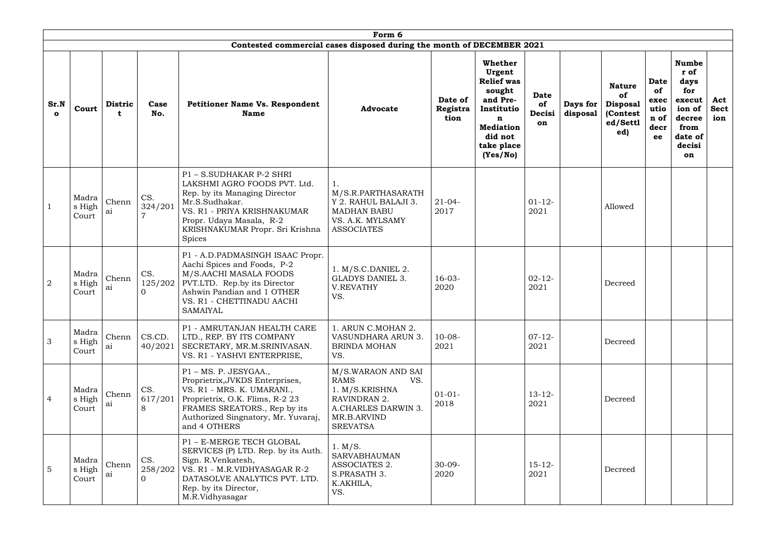|                      | Form 6<br>Contested commercial cases disposed during the month of DECEMBER 2021 |                     |                            |                                                                                                                                                                                                                            |                                                                                                                                     |                             |                                                                                                                                                    |                                   |                      |                                                                       |                                                         |                                                                                                      |                           |
|----------------------|---------------------------------------------------------------------------------|---------------------|----------------------------|----------------------------------------------------------------------------------------------------------------------------------------------------------------------------------------------------------------------------|-------------------------------------------------------------------------------------------------------------------------------------|-----------------------------|----------------------------------------------------------------------------------------------------------------------------------------------------|-----------------------------------|----------------------|-----------------------------------------------------------------------|---------------------------------------------------------|------------------------------------------------------------------------------------------------------|---------------------------|
|                      |                                                                                 |                     |                            |                                                                                                                                                                                                                            |                                                                                                                                     |                             |                                                                                                                                                    |                                   |                      |                                                                       |                                                         |                                                                                                      |                           |
| Sr.N<br>$\mathbf{o}$ | Court                                                                           | <b>Distric</b><br>t | Case<br>No.                | <b>Petitioner Name Vs. Respondent</b><br><b>Name</b>                                                                                                                                                                       | <b>Advocate</b>                                                                                                                     | Date of<br>Registra<br>tion | Whether<br>Urgent<br><b>Relief was</b><br>sought<br>and Pre-<br>Institutio<br>$\mathbf n$<br><b>Mediation</b><br>did not<br>take place<br>(Yes/No) | <b>Date</b><br>of<br>Decisi<br>on | Days for<br>disposal | <b>Nature</b><br>of<br><b>Disposal</b><br>(Contest<br>ed/Settl<br>ed) | <b>Date</b><br>of<br>exec<br>utio<br>n of<br>decr<br>ee | <b>Numbe</b><br>r of<br>days<br>for<br>execut<br>ion of<br>decree<br>from<br>date of<br>decisi<br>on | Act<br><b>Sect</b><br>ion |
|                      | Madra<br>s High<br>Court                                                        | Chenn<br>ai         | CS.<br>324/201             | P1 - S.SUDHAKAR P-2 SHRI<br>LAKSHMI AGRO FOODS PVT. Ltd.<br>Rep. by its Managing Director<br>Mr.S.Sudhakar.<br>VS. R1 - PRIYA KRISHNAKUMAR<br>Propr. Udaya Masala, R-2<br>KRISHNAKUMAR Propr. Sri Krishna<br><b>Spices</b> | M/S.R.PARTHASARATH<br>Y 2. RAHUL BALAJI 3.<br><b>MADHAN BABU</b><br>VS. A.K. MYLSAMY<br><b>ASSOCIATES</b>                           | $21-04-$<br>2017            |                                                                                                                                                    | $01-12-$<br>2021                  |                      | Allowed                                                               |                                                         |                                                                                                      |                           |
| $\overline{2}$       | Madra<br>s High<br>Court                                                        | Chenn<br>ai         | CS.<br>125/202<br>$\Omega$ | P1 - A.D.PADMASINGH ISAAC Propr.<br>Aachi Spices and Foods, P-2<br>M/S.AACHI MASALA FOODS<br><b>PVT.LTD.</b> Rep.by its Director<br>Ashwin Pandian and 1 OTHER<br>VS. R1 - CHETTINADU AACHI<br><b>SAMAIYAL</b>             | $1. M/S.C.DANIEL$ 2.<br><b>GLADYS DANIEL 3.</b><br><b>V.REVATHY</b><br>VS.                                                          | $16 - 03 -$<br>2020         |                                                                                                                                                    | $02 - 12 -$<br>2021               |                      | Decreed                                                               |                                                         |                                                                                                      |                           |
| 3                    | Madra<br>s High<br>Court                                                        | Chenn<br>ai         | CS.CD.<br>40/2021          | P1 - AMRUTANJAN HEALTH CARE<br>LTD., REP. BY ITS COMPANY<br>SECRETARY, MR.M.SRINIVASAN.<br>VS. R1 - YASHVI ENTERPRISE,                                                                                                     | 1. ARUN C.MOHAN 2.<br>VASUNDHARA ARUN 3.<br><b>BRINDA MOHAN</b><br>VS.                                                              | $10-08-$<br>2021            |                                                                                                                                                    | $07-12-$<br>2021                  |                      | Decreed                                                               |                                                         |                                                                                                      |                           |
| $\overline{4}$       | Madra<br>s High<br>Court                                                        | Chenn<br>aı         | CS.<br>617/201<br>8        | P1 - MS. P. JESYGAA.,<br>Proprietrix, JVKDS Enterprises,<br>VS. R1 - MRS. K. UMARANI.,<br>Proprietrix, O.K. Flims, R-2 23<br>FRAMES SREATORS., Rep by its<br>Authorized Singnatory, Mr. Yuvaraj,<br>and 4 OTHERS           | M/S.WARAON AND SAI<br><b>RAMS</b><br>VS.<br>1. M/S.KRISHNA<br>RAVINDRAN 2.<br>A.CHARLES DARWIN 3.<br>MR.B.ARVIND<br><b>SREVATSA</b> | $01-01-$<br>2018            |                                                                                                                                                    | $13 - 12$<br>2021                 |                      | Decreed                                                               |                                                         |                                                                                                      |                           |
| 5                    | Madra<br>s High<br>Court                                                        | Chenn<br>aı         | CS.<br>258/202             | P1 - E-MERGE TECH GLOBAL<br>SERVICES (P) LTD. Rep. by its Auth.<br>Sign. R.Venkatesh,<br>VS. R1 - M.R.VIDHYASAGAR R-2<br>DATASOLVE ANALYTICS PVT. LTD.<br>Rep. by its Director,<br>M.R.Vidhyasagar                         | 1. M/S.<br><b>SARVABHAUMAN</b><br>ASSOCIATES 2.<br>S.PRASATH 3.<br>K.AKHILA,<br>VS.                                                 | $30-09-$<br>2020            |                                                                                                                                                    | $15 - 12$<br>2021                 |                      | Decreed                                                               |                                                         |                                                                                                      |                           |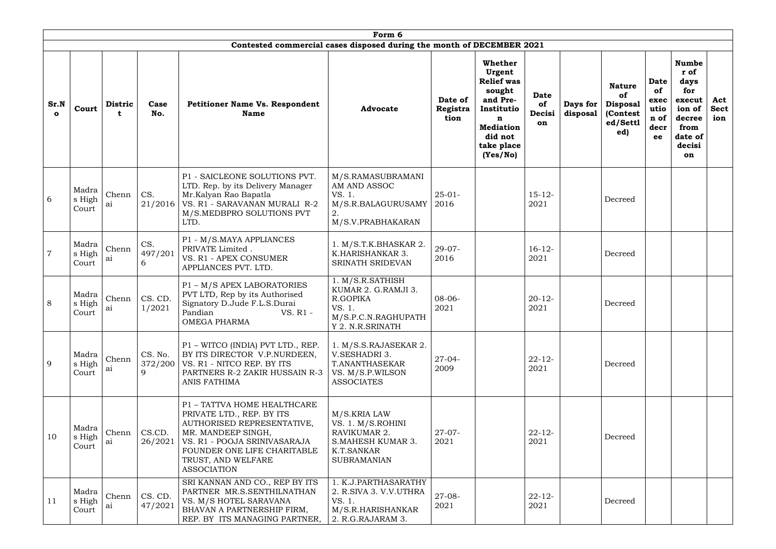|                      | Form 6<br>Contested commercial cases disposed during the month of DECEMBER 2021 |                         |                     |                                                                                                                                                                                                                         |                                                                                                            |                             |                                                                                                                                                    |                                   |                      |                                                                       |                                                         |                                                                                                      |                           |  |
|----------------------|---------------------------------------------------------------------------------|-------------------------|---------------------|-------------------------------------------------------------------------------------------------------------------------------------------------------------------------------------------------------------------------|------------------------------------------------------------------------------------------------------------|-----------------------------|----------------------------------------------------------------------------------------------------------------------------------------------------|-----------------------------------|----------------------|-----------------------------------------------------------------------|---------------------------------------------------------|------------------------------------------------------------------------------------------------------|---------------------------|--|
| Sr.N<br>$\mathbf{o}$ | Court                                                                           | <b>Distric</b>          | Case<br>No.         | <b>Petitioner Name Vs. Respondent</b><br><b>Name</b>                                                                                                                                                                    | <b>Advocate</b>                                                                                            | Date of<br>Registra<br>tion | Whether<br>Urgent<br><b>Relief</b> was<br>sought<br>and Pre-<br>Institutio<br>$\mathbf n$<br><b>Mediation</b><br>did not<br>take place<br>(Yes/No) | <b>Date</b><br>of<br>Decisi<br>on | Days for<br>disposal | <b>Nature</b><br>of<br><b>Disposal</b><br>(Contest<br>ed/Settl<br>ed) | <b>Date</b><br>of<br>exec<br>utio<br>n of<br>decr<br>ee | <b>Numbe</b><br>r of<br>days<br>for<br>execut<br>ion of<br>decree<br>from<br>date of<br>decisi<br>on | Act<br><b>Sect</b><br>ion |  |
| 6                    | Madra<br>s High<br>Court                                                        | Chenn<br>ai             | CS.<br>21/2016      | P1 - SAICLEONE SOLUTIONS PVT.<br>LTD. Rep. by its Delivery Manager<br>Mr.Kalyan Rao Bapatla<br>VS. R1 - SARAVANAN MURALI R-2<br>M/S.MEDBPRO SOLUTIONS PVT<br>LTD.                                                       | M/S.RAMASUBRAMANI<br>AM AND ASSOC<br>VS. 1.<br>M/S.R.BALAGURUSAMY<br>2.<br>M/S.V.PRABHAKARAN               | $25-01-$<br>2016            |                                                                                                                                                    | $15 - 12 -$<br>2021               |                      | Decreed                                                               |                                                         |                                                                                                      |                           |  |
| $\overline{7}$       | Madra<br>s High<br>Court                                                        | Chenn<br>ai             | CS.<br>497/201<br>6 | P1 - M/S.MAYA APPLIANCES<br>PRIVATE Limited.<br>VS. R1 - APEX CONSUMER<br>APPLIANCES PVT. LTD.                                                                                                                          | 1. M/S.T.K.BHASKAR 2.<br>K.HARISHANKAR 3.<br>SRINATH SRIDEVAN                                              | $29 - 07 -$<br>2016         |                                                                                                                                                    | $16 - 12$<br>2021                 |                      | Decreed                                                               |                                                         |                                                                                                      |                           |  |
| 8                    | Madra<br>s High<br>Court                                                        | Chenn<br>ai             | CS. CD.<br>1/2021   | P1 - M/S APEX LABORATORIES<br>PVT LTD, Rep by its Authorised<br>Signatory D.Jude F.L.S.Durai<br>VS. R1 -<br>Pandian<br><b>OMEGA PHARMA</b>                                                                              | 1. M/S.R.SATHISH<br>KUMAR 2. G.RAMJI 3.<br>R.GOPIKA<br>VS. 1.<br>M/S.P.C.N.RAGHUPATH<br>Y 2. N.R.SRINATH   | $08-06-$<br>2021            |                                                                                                                                                    | $20 - 12 -$<br>2021               |                      | Decreed                                                               |                                                         |                                                                                                      |                           |  |
| 9                    | Madra<br>s High<br>Court                                                        | Chenn<br>a <sub>1</sub> | CS. No.<br>9        | P1 - WITCO (INDIA) PVT LTD., REP.<br>BY ITS DIRECTOR V.P.NURDEEN,<br>372/200   VS. R1 - NITCO REP. BY ITS<br>PARTNERS R-2 ZAKIR HUSSAIN R-3<br>ANIS FATHIMA                                                             | 1. M/S.S.RAJASEKAR 2.<br>V.SESHADRI 3.<br>T.ANANTHASEKAR<br>VS. M/S.P.WILSON<br><b>ASSOCIATES</b>          | $27-04-$<br>2009            |                                                                                                                                                    | $22 - 12$<br>2021                 |                      | Decreed                                                               |                                                         |                                                                                                      |                           |  |
| 10                   | Madra<br>s High<br>Court                                                        | Chenn<br>ai             | CS.CD.<br>26/2021   | P1 - TATTVA HOME HEALTHCARE<br>PRIVATE LTD., REP. BY ITS<br>AUTHORISED REPRESENTATIVE,<br>MR. MANDEEP SINGH,<br>VS. R1 - POOJA SRINIVASARAJA<br>FOUNDER ONE LIFE CHARITABLE<br>TRUST, AND WELFARE<br><b>ASSOCIATION</b> | M/S.KRIA LAW<br>VS. 1. M/S.ROHINI<br>RAVIKUMAR 2.<br>S.MAHESH KUMAR 3.<br>K.T.SANKAR<br><b>SUBRAMANIAN</b> | $27-07-$<br>2021            |                                                                                                                                                    | $22 - 12$<br>2021                 |                      | Decreed                                                               |                                                         |                                                                                                      |                           |  |
| 11                   | Madra<br>s High<br>Court                                                        | Chenn<br>a <sub>1</sub> | CS. CD.<br>47/2021  | SRI KANNAN AND CO., REP BY ITS<br>PARTNER MR.S.SENTHILNATHAN<br>VS. M/S HOTEL SARAVANA<br>BHAVAN A PARTNERSHIP FIRM,<br>REP. BY ITS MANAGING PARTNER,   2. R.G.RAJARAM 3.                                               | 1. K.J.PARTHASARATHY<br>2. R.SIVA 3. V.V.UTHRA<br>VS. 1.<br>M/S.R.HARISHANKAR                              | $27 - 08 -$<br>2021         |                                                                                                                                                    | $22 - 12$<br>2021                 |                      | Decreed                                                               |                                                         |                                                                                                      |                           |  |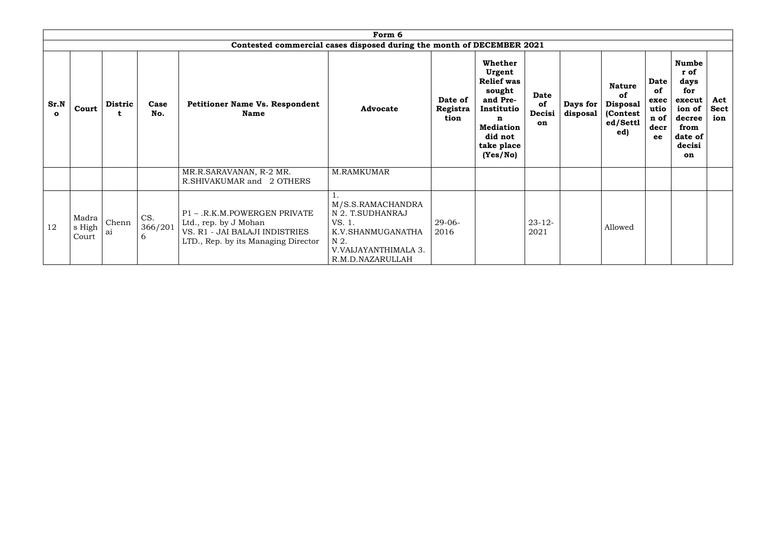|                      |                          |                |                                                                     |                                                                                                                                | Form 6                                                                                                                   |                             |                                                                                                                                                    |                                   |                      |                                                                       |                                                  |                                                                                                             |                           |
|----------------------|--------------------------|----------------|---------------------------------------------------------------------|--------------------------------------------------------------------------------------------------------------------------------|--------------------------------------------------------------------------------------------------------------------------|-----------------------------|----------------------------------------------------------------------------------------------------------------------------------------------------|-----------------------------------|----------------------|-----------------------------------------------------------------------|--------------------------------------------------|-------------------------------------------------------------------------------------------------------------|---------------------------|
|                      |                          |                |                                                                     |                                                                                                                                | Contested commercial cases disposed during the month of DECEMBER 2021                                                    |                             |                                                                                                                                                    |                                   |                      |                                                                       |                                                  |                                                                                                             |                           |
| Sr.N<br>$\mathbf{o}$ | Court                    | <b>Distric</b> | Case<br><b>Petitioner Name Vs. Respondent</b><br>No.<br><b>Name</b> |                                                                                                                                | <b>Advocate</b>                                                                                                          | Date of<br>Registra<br>tion | Whether<br>Urgent<br><b>Relief was</b><br>sought<br>and Pre-<br>Institutio<br>$\mathbf n$<br><b>Mediation</b><br>did not<br>take place<br>(Yes/No) | <b>Date</b><br>of<br>Decisi<br>on | Days for<br>disposal | <b>Nature</b><br>of<br><b>Disposal</b><br>(Contest<br>ed/Settl<br>ed) | Date<br>of<br>exec<br>utio<br>n of<br>decr<br>ee | <b>Numbe</b><br>r of<br>days<br>for<br>execut<br>ion of<br>decree<br>from<br>date of<br>decisi<br><b>on</b> | Act<br><b>Sect</b><br>ion |
|                      |                          |                |                                                                     | MR.R.SARAVANAN, R-2 MR.<br>R.SHIVAKUMAR and 2 OTHERS                                                                           | M.RAMKUMAR                                                                                                               |                             |                                                                                                                                                    |                                   |                      |                                                                       |                                                  |                                                                                                             |                           |
| 12                   | Madra<br>s High<br>Court | Chenn<br>ai    | CS.<br>366/201<br>6                                                 | P1 - .R.K.M.POWERGEN PRIVATE<br>Ltd., rep. by J Mohan<br>VS. R1 - JAI BALAJI INDISTRIES<br>LTD., Rep. by its Managing Director | M/S.S.RAMACHANDRA<br>N 2. T.SUDHANRAJ<br>VS. 1.<br>K.V.SHANMUGANATHA<br>N 2.<br>V.VAIJAYANTHIMALA 3.<br>R.M.D.NAZARULLAH | $29-06-$<br>2016            |                                                                                                                                                    | $23 - 12$<br>2021                 |                      | Allowed                                                               |                                                  |                                                                                                             |                           |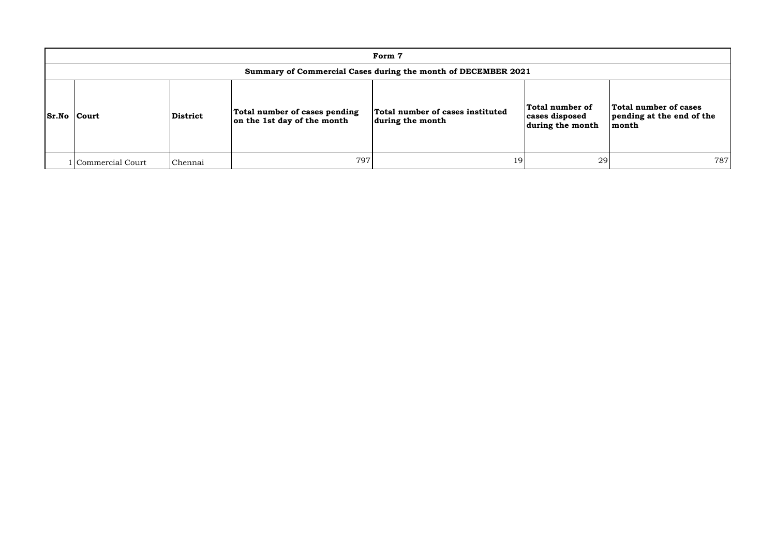| Form 7                                                        |                 |                                                              |                                                      |                                                       |                                                             |  |  |  |  |  |  |  |
|---------------------------------------------------------------|-----------------|--------------------------------------------------------------|------------------------------------------------------|-------------------------------------------------------|-------------------------------------------------------------|--|--|--|--|--|--|--|
| Summary of Commercial Cases during the month of DECEMBER 2021 |                 |                                                              |                                                      |                                                       |                                                             |  |  |  |  |  |  |  |
| <b>Sr.No Court</b>                                            | <b>District</b> | Total number of cases pending<br>on the 1st day of the month | Total number of cases instituted<br>during the month | Total number of<br>cases disposed<br>during the month | Total number of cases<br>pending at the end of the<br>month |  |  |  |  |  |  |  |
| Commercial Court                                              | Chennai         | 797                                                          | 19                                                   | 29                                                    | 787                                                         |  |  |  |  |  |  |  |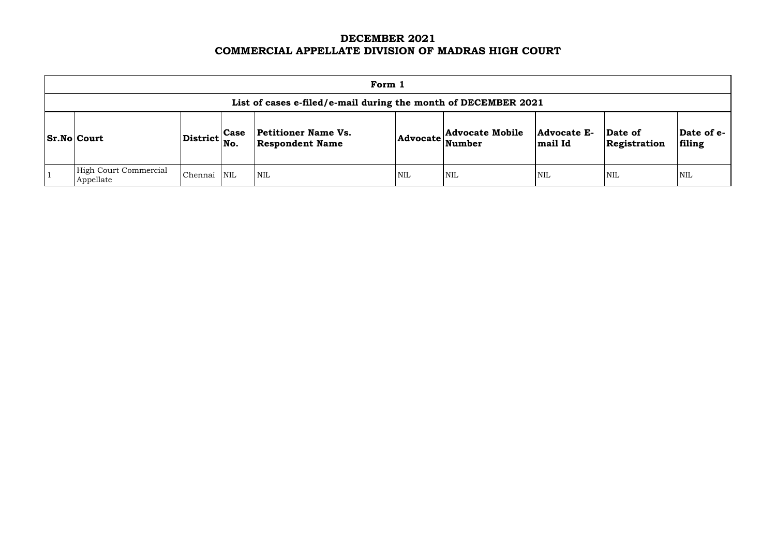# **DECEMBER 2021 COMMERCIAL APPELLATE DIVISION OF MADRAS HIGH COURT**

| Form 1                                                         |                                   |             |                                                      |                 |                                  |                        |                         |                      |  |  |  |  |
|----------------------------------------------------------------|-----------------------------------|-------------|------------------------------------------------------|-----------------|----------------------------------|------------------------|-------------------------|----------------------|--|--|--|--|
| List of cases e-filed/e-mail during the month of DECEMBER 2021 |                                   |             |                                                      |                 |                                  |                        |                         |                      |  |  |  |  |
| <b>Sr.No Court</b>                                             | $ {\rm District} \Big  {\rm No}.$ | <b>Case</b> | <b>Petitioner Name Vs.</b><br><b>Respondent Name</b> | <b>Advocate</b> | <b>Advocate Mobile</b><br>Number | Advocate E-<br>mail Id | Date of<br>Registration | Date of e-<br>filing |  |  |  |  |
| <b>High Court Commercial</b><br>Appellate                      | Chennai                           | <b>NIL</b>  | $\mathsf{NIL}$                                       | <b>NIL</b>      | <b>NIL</b>                       | <b>NIL</b>             | <b>NIL</b>              | <b>NIL</b>           |  |  |  |  |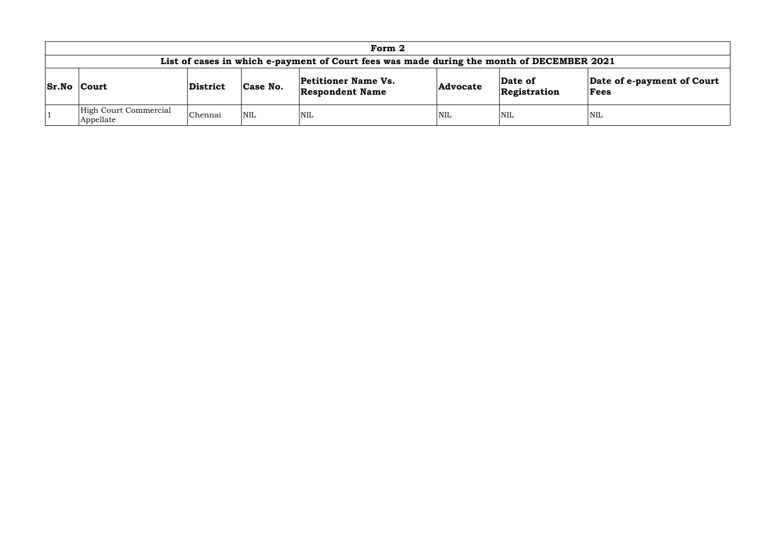| Form 2                                                                                    |          |            |                                                      |                 |                         |                                    |  |  |  |  |  |  |
|-------------------------------------------------------------------------------------------|----------|------------|------------------------------------------------------|-----------------|-------------------------|------------------------------------|--|--|--|--|--|--|
| List of cases in which e-payment of Court fees was made during the month of DECEMBER 2021 |          |            |                                                      |                 |                         |                                    |  |  |  |  |  |  |
| <b>Sr.No Court</b>                                                                        | District | Case No.   | <b>Petitioner Name Vs.</b><br><b>Respondent Name</b> | <b>Advocate</b> | Date of<br>Registration | Date of e-payment of Court<br>Fees |  |  |  |  |  |  |
| High Court Commercial<br>Appellate                                                        | Chennai  | <b>NIL</b> | NIL                                                  | <b>NIL</b>      | NIL                     | NIL                                |  |  |  |  |  |  |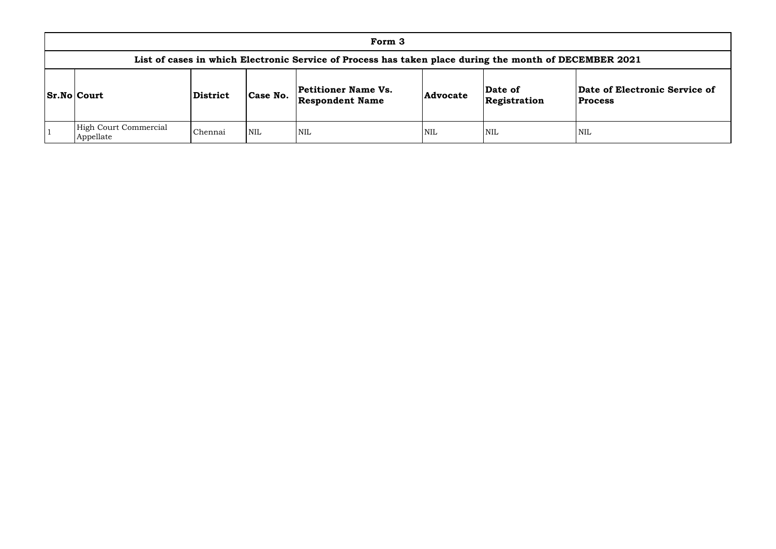|                                                                                                        | Form 3                             |                 |            |                                                      |                 |                         |                                 |  |  |  |  |  |  |
|--------------------------------------------------------------------------------------------------------|------------------------------------|-----------------|------------|------------------------------------------------------|-----------------|-------------------------|---------------------------------|--|--|--|--|--|--|
| List of cases in which Electronic Service of Process has taken place during the month of DECEMBER 2021 |                                    |                 |            |                                                      |                 |                         |                                 |  |  |  |  |  |  |
|                                                                                                        | <b>Sr.No Court</b>                 | <b>District</b> | Case No.   | <b>Petitioner Name Vs.</b><br><b>Respondent Name</b> | <b>Advocate</b> | Date of<br>Registration | Date of Elect<br><b>Process</b> |  |  |  |  |  |  |
|                                                                                                        | High Court Commercial<br>Appellate | Chennai         | <b>NIL</b> | <b>NIL</b>                                           | <b>NIL</b>      | <b>NIL</b>              | NIL                             |  |  |  |  |  |  |

## **Date of Electronic Service of Process**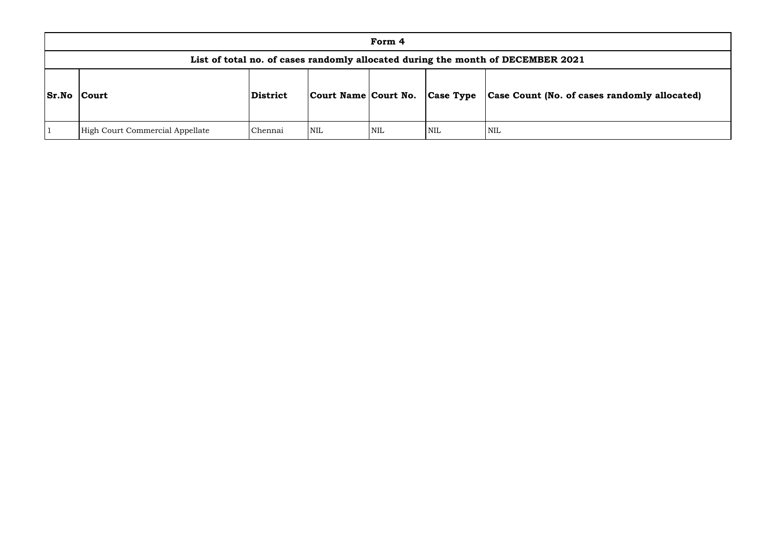| Form 4       |                                                                                 |          |                        |            |                  |                       |  |  |  |  |  |  |  |
|--------------|---------------------------------------------------------------------------------|----------|------------------------|------------|------------------|-----------------------|--|--|--|--|--|--|--|
|              | List of total no. of cases randomly allocated during the month of DECEMBER 2021 |          |                        |            |                  |                       |  |  |  |  |  |  |  |
| <b>Sr.No</b> | Court                                                                           | District | Court Name   Court No. |            | <b>Case Type</b> | Case Count (No. of ca |  |  |  |  |  |  |  |
|              | High Court Commercial Appellate                                                 | Chennai  | NIL                    | <b>NIL</b> | NIL              | <b>NIL</b>            |  |  |  |  |  |  |  |

# **Sr.No Court District Court Name Court No. Case Type Case Count (No. of cases randomly allocated)**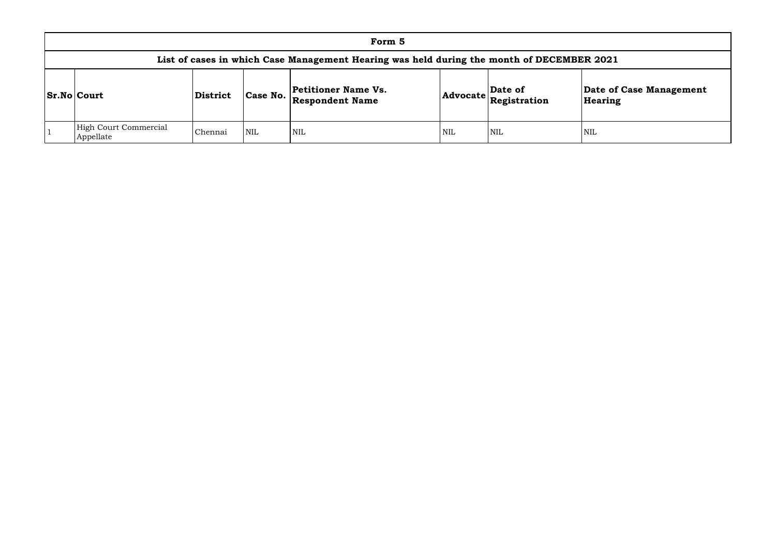| Form 5                                                                                    |                 |            |                                                      |     |                                                                            |                    |  |  |  |  |  |  |
|-------------------------------------------------------------------------------------------|-----------------|------------|------------------------------------------------------|-----|----------------------------------------------------------------------------|--------------------|--|--|--|--|--|--|
| List of cases in which Case Management Hearing was held during the month of DECEMBER 2021 |                 |            |                                                      |     |                                                                            |                    |  |  |  |  |  |  |
| <b>Sr.No Court</b>                                                                        | <b>District</b> | Case No.   | <b>Petitioner Name Vs.</b><br><b>Respondent Name</b> |     | Date of<br>$ {\bf Advocate} \overline{\bf \mathop{Resistration}\nolimits}$ | Date of<br>Hearing |  |  |  |  |  |  |
| <b>High Court Commercial</b><br>Appellate                                                 | Chennai         | <b>NIL</b> | <b>NIL</b>                                           | NIL | <b>NIL</b>                                                                 | <b>NIL</b>         |  |  |  |  |  |  |

# **Date of Case Management Hearing**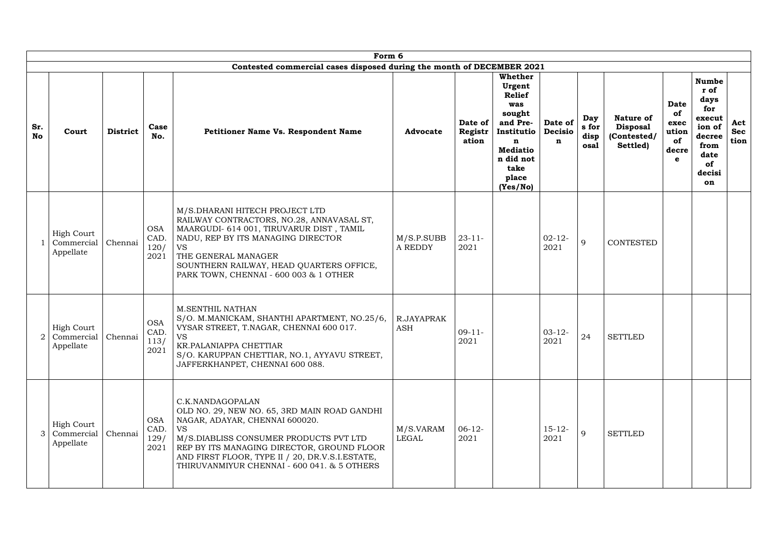|                  |                                              |                 |                                    | Form 6                                                                                                                                                                                                                                                                                                    |                              |                             |                                                                                                                                                 |                                |                              |                                                                |                                                 |                                                                                                         |                           |
|------------------|----------------------------------------------|-----------------|------------------------------------|-----------------------------------------------------------------------------------------------------------------------------------------------------------------------------------------------------------------------------------------------------------------------------------------------------------|------------------------------|-----------------------------|-------------------------------------------------------------------------------------------------------------------------------------------------|--------------------------------|------------------------------|----------------------------------------------------------------|-------------------------------------------------|---------------------------------------------------------------------------------------------------------|---------------------------|
|                  |                                              |                 |                                    | Contested commercial cases disposed during the month of DECEMBER 2021                                                                                                                                                                                                                                     |                              |                             |                                                                                                                                                 |                                |                              |                                                                |                                                 |                                                                                                         |                           |
| Sr.<br><b>No</b> | Court                                        | <b>District</b> | Case<br>No.                        | <b>Petitioner Name Vs. Respondent Name</b>                                                                                                                                                                                                                                                                | <b>Advocate</b>              | Date of<br>Registr<br>ation | Whether<br>Urgent<br><b>Relief</b><br>was<br>sought<br>and Pre-<br>Institutio<br>n<br><b>Mediatio</b><br>n did not<br>take<br>place<br>(Yes/No) | Date of<br><b>Decisio</b><br>n | Day<br>s for<br>disp<br>osal | <b>Nature of</b><br><b>Disposal</b><br>(Contested/<br>Settled) | Date<br>of<br>exec<br>ution<br>of<br>decre<br>e | <b>Numbe</b><br>r of<br>days<br>for<br>execut<br>ion of<br>decree<br>from<br>date<br>of<br>decisi<br>on | Act<br><b>Sec</b><br>tion |
|                  | <b>High Court</b><br>Commercial<br>Appellate | Chennai         | <b>OSA</b><br>CAD.<br>120/<br>2021 | M/S.DHARANI HITECH PROJECT LTD<br>RAILWAY CONTRACTORS, NO.28, ANNAVASAL ST,<br>MAARGUDI- 614 001, TIRUVARUR DIST, TAMIL<br>NADU, REP BY ITS MANAGING DIRECTOR<br><b>VS</b><br>THE GENERAL MANAGER<br>SOUNTHERN RAILWAY, HEAD QUARTERS OFFICE,<br>PARK TOWN, CHENNAI - 600 003 & 1 OTHER                   | M/S.P.SUBB<br><b>A REDDY</b> | $23 - 11 -$<br>2021         |                                                                                                                                                 | $02 - 12$<br>2021              | 9                            | <b>CONTESTED</b>                                               |                                                 |                                                                                                         |                           |
| $\overline{2}$   | <b>High Court</b><br>Commercial<br>Appellate | Chennai         | <b>OSA</b><br>CAD.<br>113/<br>2021 | <b>M.SENTHIL NATHAN</b><br>S/O. M.MANICKAM, SHANTHI APARTMENT, NO.25/6,<br>VYSAR STREET, T.NAGAR, CHENNAI 600 017.<br><b>VS</b><br>KR.PALANIAPPA CHETTIAR<br>S/O. KARUPPAN CHETTIAR, NO.1, AYYAVU STREET,<br>JAFFERKHANPET, CHENNAI 600 088.                                                              | R.JAYAPRAK<br><b>ASH</b>     | $09-11-$<br>2021            |                                                                                                                                                 | $03 - 12 -$<br>2021            | 24                           | <b>SETTLED</b>                                                 |                                                 |                                                                                                         |                           |
| 3                | <b>High Court</b><br>Commercial<br>Appellate | Chennai         | <b>OSA</b><br>CAD.<br>129/<br>2021 | C.K.NANDAGOPALAN<br>OLD NO. 29, NEW NO. 65, 3RD MAIN ROAD GANDHI<br>NAGAR, ADAYAR, CHENNAI 600020.<br><b>VS</b><br>M/S.DIABLISS CONSUMER PRODUCTS PVT LTD<br>REP BY ITS MANAGING DIRECTOR, GROUND FLOOR<br>AND FIRST FLOOR, TYPE II / 20, DR.V.S.I.ESTATE,<br>THIRUVANMIYUR CHENNAI - 600 041. & 5 OTHERS | M/S.VARAM<br>LEGAL           | $06-12-$<br>2021            |                                                                                                                                                 | $15 - 12 -$<br>2021            | 9                            | <b>SETTLED</b>                                                 |                                                 |                                                                                                         |                           |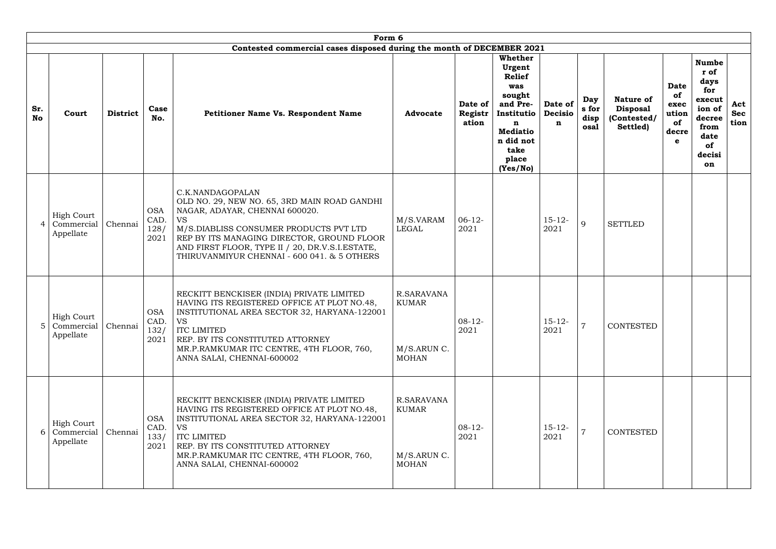|                                                                | Form 6<br>Contested commercial cases disposed during the month of DECEMBER 2021 |                                    |                                                                                                                                                                                                                                                                                                           |                                                           |                             |                                                                                                                                                        |                                |                              |                                                                |                                                        |                                                                                                         |                           |
|----------------------------------------------------------------|---------------------------------------------------------------------------------|------------------------------------|-----------------------------------------------------------------------------------------------------------------------------------------------------------------------------------------------------------------------------------------------------------------------------------------------------------|-----------------------------------------------------------|-----------------------------|--------------------------------------------------------------------------------------------------------------------------------------------------------|--------------------------------|------------------------------|----------------------------------------------------------------|--------------------------------------------------------|---------------------------------------------------------------------------------------------------------|---------------------------|
| Sr.<br>Court<br><b>No</b>                                      | <b>District</b>                                                                 | Case<br>No.                        | <b>Petitioner Name Vs. Respondent Name</b>                                                                                                                                                                                                                                                                | <b>Advocate</b>                                           | Date of<br>Registr<br>ation | <b>Whether</b><br>Urgent<br><b>Relief</b><br>was<br>sought<br>and Pre-<br>Institutio<br>n<br><b>Mediatio</b><br>n did not<br>take<br>place<br>(Yes/No) | Date of<br><b>Decisio</b><br>n | Day<br>s for<br>disp<br>osal | <b>Nature of</b><br><b>Disposal</b><br>(Contested/<br>Settled) | <b>Date</b><br>of<br>exec<br>ution<br>of<br>decre<br>e | <b>Numbe</b><br>r of<br>days<br>for<br>execut<br>ion of<br>decree<br>from<br>date<br>of<br>decisi<br>on | Act<br><b>Sec</b><br>tion |
| <b>High Court</b><br>Commercial<br>$\overline{A}$<br>Appellate | Chennai                                                                         | <b>OSA</b><br>CAD.<br>128/<br>2021 | C.K.NANDAGOPALAN<br>OLD NO. 29, NEW NO. 65, 3RD MAIN ROAD GANDHI<br>NAGAR, ADAYAR, CHENNAI 600020.<br><b>VS</b><br>M/S.DIABLISS CONSUMER PRODUCTS PVT LTD<br>REP BY ITS MANAGING DIRECTOR, GROUND FLOOR<br>AND FIRST FLOOR, TYPE II / 20, DR.V.S.I.ESTATE,<br>THIRUVANMIYUR CHENNAI - 600 041. & 5 OTHERS | M/S.VARAM<br>LEGAL                                        | $06-12-$<br>2021            |                                                                                                                                                        | $15 - 12 -$<br>2021            | 9                            | <b>SETTLED</b>                                                 |                                                        |                                                                                                         |                           |
| <b>High Court</b><br>$5^{\circ}$<br>Commercial  <br>Appellate  | Chennai                                                                         | <b>OSA</b><br>CAD.<br>132/<br>2021 | RECKITT BENCKISER (INDIA) PRIVATE LIMITED<br>HAVING ITS REGISTERED OFFICE AT PLOT NO.48,<br>INSTITUTIONAL AREA SECTOR 32, HARYANA-122001<br><b>VS</b><br><b>ITC LIMITED</b><br>REP. BY ITS CONSTITUTED ATTORNEY<br>MR.P.RAMKUMAR ITC CENTRE, 4TH FLOOR, 760,<br>ANNA SALAI, CHENNAI-600002                | R.SARAVANA<br><b>KUMAR</b><br>M/S.ARUN C.<br><b>MOHAN</b> | $08 - 12 -$<br>2021         |                                                                                                                                                        | $15 - 12 -$<br>2021            |                              | CONTESTED                                                      |                                                        |                                                                                                         |                           |
| <b>High Court</b><br>Commercial<br>6<br>Appellate              | Chennai                                                                         | <b>OSA</b><br>CAD.<br>133/<br>2021 | RECKITT BENCKISER (INDIA) PRIVATE LIMITED<br>HAVING ITS REGISTERED OFFICE AT PLOT NO.48,<br>INSTITUTIONAL AREA SECTOR 32, HARYANA-122001<br><b>VS</b><br><b>ITC LIMITED</b><br>REP. BY ITS CONSTITUTED ATTORNEY<br>MR.P.RAMKUMAR ITC CENTRE, 4TH FLOOR, 760,<br>ANNA SALAI, CHENNAI-600002                | R.SARAVANA<br><b>KUMAR</b><br>M/S.ARUN C.<br><b>MOHAN</b> | $08 - 12 -$<br>2021         |                                                                                                                                                        | $15 - 12$<br>2021              | $\overline{7}$               | CONTESTED                                                      |                                                        |                                                                                                         |                           |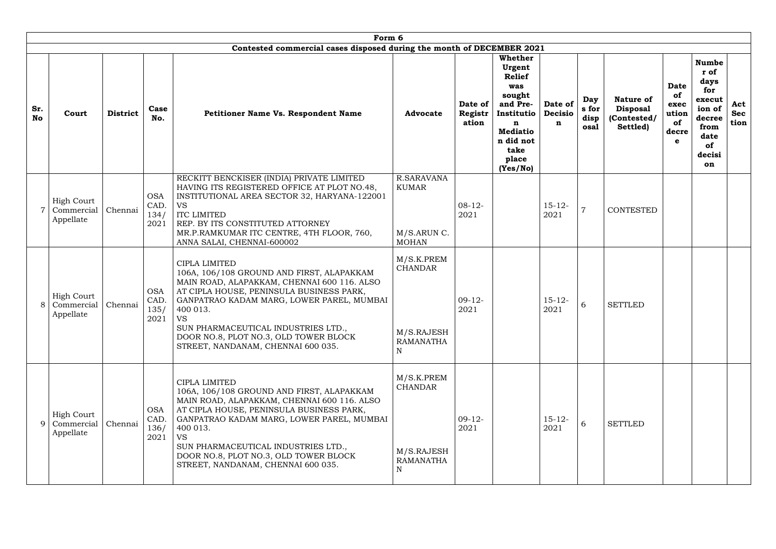|                  | Form 6<br>Contested commercial cases disposed during the month of DECEMBER 2021 |         |                                    |                                                                                                                                                                                                                                                                                                                                                          |                                                                     |                             |                                                                                                                                                        |                                |                              |                                                                |                                                        |                                                                                                                |                           |  |
|------------------|---------------------------------------------------------------------------------|---------|------------------------------------|----------------------------------------------------------------------------------------------------------------------------------------------------------------------------------------------------------------------------------------------------------------------------------------------------------------------------------------------------------|---------------------------------------------------------------------|-----------------------------|--------------------------------------------------------------------------------------------------------------------------------------------------------|--------------------------------|------------------------------|----------------------------------------------------------------|--------------------------------------------------------|----------------------------------------------------------------------------------------------------------------|---------------------------|--|
| Sr.<br><b>No</b> | <b>District</b><br>Court                                                        |         | Case<br>No.                        | <b>Petitioner Name Vs. Respondent Name</b>                                                                                                                                                                                                                                                                                                               | <b>Advocate</b>                                                     | Date of<br>Registr<br>ation | <b>Whether</b><br>Urgent<br><b>Relief</b><br>was<br>sought<br>and Pre-<br>Institutio<br>n<br><b>Mediatio</b><br>n did not<br>take<br>place<br>(Yes/No) | Date of<br><b>Decisio</b><br>n | Day<br>s for<br>disp<br>osal | <b>Nature of</b><br><b>Disposal</b><br>(Contested/<br>Settled) | <b>Date</b><br>of<br>exec<br>ution<br>of<br>decre<br>e | <b>Numbe</b><br>r of<br>days<br>for<br>execut<br>ion of<br>decree<br>from<br>date<br>of<br>decisi<br><b>on</b> | Act<br><b>Sec</b><br>tion |  |
|                  | <b>High Court</b><br>Commercial<br>Appellate                                    | Chennai | <b>OSA</b><br>CAD.<br>134/<br>2021 | RECKITT BENCKISER (INDIA) PRIVATE LIMITED<br>HAVING ITS REGISTERED OFFICE AT PLOT NO.48,<br>INSTITUTIONAL AREA SECTOR 32, HARYANA-122001<br><b>VS</b><br><b>ITC LIMITED</b><br>REP. BY ITS CONSTITUTED ATTORNEY<br>MR.P.RAMKUMAR ITC CENTRE, 4TH FLOOR, 760,<br>ANNA SALAI, CHENNAI-600002                                                               | R.SARAVANA<br><b>KUMAR</b><br>M/S.ARUN C.<br><b>MOHAN</b>           | $08 - 12 -$<br>2021         |                                                                                                                                                        | $15 - 12$<br>2021              | $\overline{7}$               | <b>CONTESTED</b>                                               |                                                        |                                                                                                                |                           |  |
| 8                | <b>High Court</b><br>Commercial<br>Appellate                                    | Chennai | <b>OSA</b><br>CAD.<br>135/<br>2021 | <b>CIPLA LIMITED</b><br>106A, 106/108 GROUND AND FIRST, ALAPAKKAM<br>MAIN ROAD, ALAPAKKAM, CHENNAI 600 116. ALSO<br>AT CIPLA HOUSE, PENINSULA BUSINESS PARK,<br>GANPATRAO KADAM MARG, LOWER PAREL, MUMBAI<br>400 013.<br><b>VS</b><br>SUN PHARMACEUTICAL INDUSTRIES LTD.,<br>DOOR NO.8, PLOT NO.3, OLD TOWER BLOCK<br>STREET, NANDANAM, CHENNAI 600 035. | M/S.K.PREM<br><b>CHANDAR</b><br>M/S.RAJESH<br><b>RAMANATHA</b><br>N | $09-12-$<br>2021            |                                                                                                                                                        | $15 - 12$<br>2021              | 6                            | <b>SETTLED</b>                                                 |                                                        |                                                                                                                |                           |  |
| 9                | <b>High Court</b><br>Commercial<br>Appellate                                    | Chennai | <b>OSA</b><br>CAD.<br>136/<br>2021 | <b>CIPLA LIMITED</b><br>106A, 106/108 GROUND AND FIRST, ALAPAKKAM<br>MAIN ROAD, ALAPAKKAM, CHENNAI 600 116. ALSO<br>AT CIPLA HOUSE, PENINSULA BUSINESS PARK,<br>GANPATRAO KADAM MARG, LOWER PAREL, MUMBAI<br>400 013.<br><b>VS</b><br>SUN PHARMACEUTICAL INDUSTRIES LTD.,<br>DOOR NO.8, PLOT NO.3, OLD TOWER BLOCK<br>STREET, NANDANAM, CHENNAI 600 035. | M/S.K.PREM<br><b>CHANDAR</b><br>M/S.RAJESH<br><b>RAMANATHA</b><br>N | $09-12-$<br>2021            |                                                                                                                                                        | $15 - 12 -$<br>2021            | 6                            | <b>SETTLED</b>                                                 |                                                        |                                                                                                                |                           |  |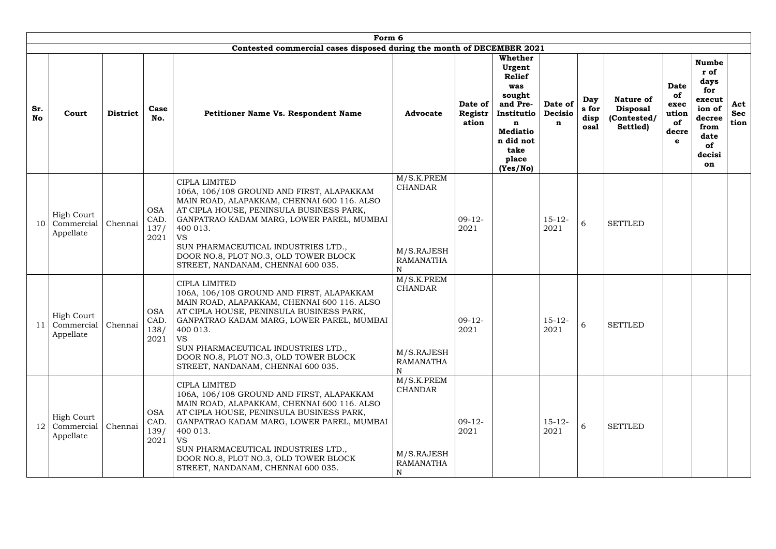|                  | Form 6                                                 |                 |                                    |                                                                                                                                                                                                                                                                                                                                                          |                                                                      |                             |                                                                                                                                                 |                                |                              |                                                                |                                                        |                                                                                                                |                           |
|------------------|--------------------------------------------------------|-----------------|------------------------------------|----------------------------------------------------------------------------------------------------------------------------------------------------------------------------------------------------------------------------------------------------------------------------------------------------------------------------------------------------------|----------------------------------------------------------------------|-----------------------------|-------------------------------------------------------------------------------------------------------------------------------------------------|--------------------------------|------------------------------|----------------------------------------------------------------|--------------------------------------------------------|----------------------------------------------------------------------------------------------------------------|---------------------------|
|                  |                                                        |                 |                                    | Contested commercial cases disposed during the month of DECEMBER 2021                                                                                                                                                                                                                                                                                    |                                                                      |                             |                                                                                                                                                 |                                |                              |                                                                |                                                        |                                                                                                                |                           |
| Sr.<br><b>No</b> | Court                                                  | <b>District</b> | Case<br>No.                        | <b>Petitioner Name Vs. Respondent Name</b>                                                                                                                                                                                                                                                                                                               | <b>Advocate</b>                                                      | Date of<br>Registr<br>ation | Whether<br>Urgent<br><b>Relief</b><br>was<br>sought<br>and Pre-<br>Institutio<br>n<br><b>Mediatio</b><br>n did not<br>take<br>place<br>(Yes/No) | Date of<br><b>Decisio</b><br>n | Day<br>s for<br>disp<br>osal | <b>Nature of</b><br><b>Disposal</b><br>(Contested/<br>Settled) | <b>Date</b><br>0f<br>exec<br>ution<br>of<br>decre<br>e | <b>Numbe</b><br>r of<br>days<br>for<br>execut<br>ion of<br>decree<br>from<br>date<br><b>of</b><br>decisi<br>on | Act<br><b>Sec</b><br>tion |
| 10               | <b>High Court</b><br>Commercial<br>Appellate           | Chennai         | <b>OSA</b><br>CAD.<br>137/<br>2021 | <b>CIPLA LIMITED</b><br>106A, 106/108 GROUND AND FIRST, ALAPAKKAM<br>MAIN ROAD, ALAPAKKAM, CHENNAI 600 116. ALSO<br>AT CIPLA HOUSE, PENINSULA BUSINESS PARK,<br>GANPATRAO KADAM MARG, LOWER PAREL, MUMBAI<br>400 013.<br><b>VS</b><br>SUN PHARMACEUTICAL INDUSTRIES LTD.,<br>DOOR NO.8, PLOT NO.3, OLD TOWER BLOCK<br>STREET, NANDANAM, CHENNAI 600 035. | M/S.K.PREM<br><b>CHANDAR</b><br>M/S.RAJESH<br><b>RAMANATHA</b><br>N  | $09-12-$<br>2021            |                                                                                                                                                 | $15 - 12$<br>2021              | 6                            | <b>SETTLED</b>                                                 |                                                        |                                                                                                                |                           |
|                  | <b>High Court</b><br>Commercial   Chennai<br>Appellate |                 | <b>OSA</b><br>CAD.<br>138/<br>2021 | <b>CIPLA LIMITED</b><br>106A, 106/108 GROUND AND FIRST, ALAPAKKAM<br>MAIN ROAD, ALAPAKKAM, CHENNAI 600 116. ALSO<br>AT CIPLA HOUSE, PENINSULA BUSINESS PARK,<br>GANPATRAO KADAM MARG, LOWER PAREL, MUMBAI<br>400 013.<br><b>VS</b><br>SUN PHARMACEUTICAL INDUSTRIES LTD.,<br>DOOR NO.8, PLOT NO.3, OLD TOWER BLOCK<br>STREET, NANDANAM, CHENNAI 600 035. | M/S.K.PREM<br><b>CHANDAR</b><br>M/S.RAJESH<br><b>RAMANATHA</b><br>N  | $09-12-$<br>2021            |                                                                                                                                                 | $15 - 12 -$<br>2021            | 6                            | <b>SETTLED</b>                                                 |                                                        |                                                                                                                |                           |
| 12               | <b>High Court</b><br>Commercial<br>Appellate           | Chennai         | <b>OSA</b><br>CAD.<br>139/<br>2021 | CIPLA LIMITED<br>106A, 106/108 GROUND AND FIRST, ALAPAKKAM<br>MAIN ROAD, ALAPAKKAM, CHENNAI 600 116. ALSO<br>AT CIPLA HOUSE, PENINSULA BUSINESS PARK,<br>GANPATRAO KADAM MARG, LOWER PAREL, MUMBAI<br>400 013.<br><b>VS</b><br>SUN PHARMACEUTICAL INDUSTRIES LTD.,<br>DOOR NO.8, PLOT NO.3, OLD TOWER BLOCK<br>STREET, NANDANAM, CHENNAI 600 035.        | M/S.K.PREM<br><b>CHANDAR</b><br>M/S.RAJESH<br>RAMANATHA<br>${\bf N}$ | $09-12-$<br>2021            |                                                                                                                                                 | $15 - 12$<br>2021              | 6                            | <b>SETTLED</b>                                                 |                                                        |                                                                                                                |                           |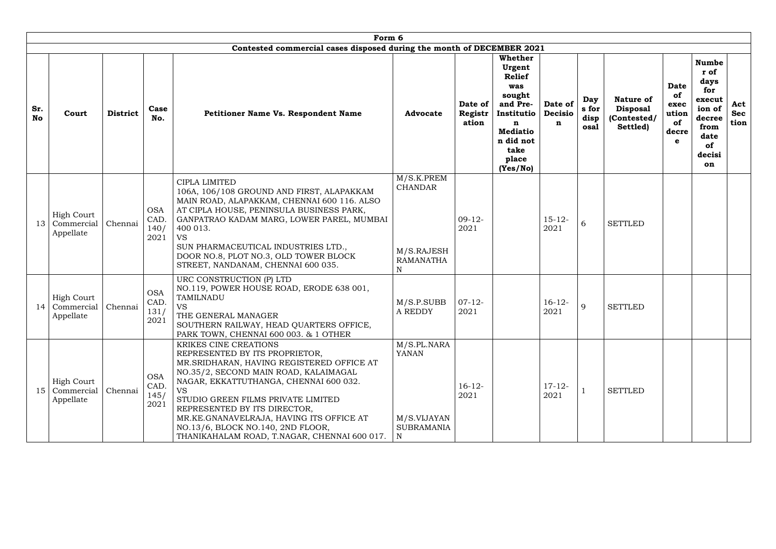|                  | Form 6                                          |                 |                                    |                                                                                                                                                                                                                                                                                                                                                                                                             |                                                                                            |                             |                                                                                                                                                 |                                |                              |                                                                |                                                 |                                                                                                                |                           |
|------------------|-------------------------------------------------|-----------------|------------------------------------|-------------------------------------------------------------------------------------------------------------------------------------------------------------------------------------------------------------------------------------------------------------------------------------------------------------------------------------------------------------------------------------------------------------|--------------------------------------------------------------------------------------------|-----------------------------|-------------------------------------------------------------------------------------------------------------------------------------------------|--------------------------------|------------------------------|----------------------------------------------------------------|-------------------------------------------------|----------------------------------------------------------------------------------------------------------------|---------------------------|
|                  |                                                 |                 |                                    | Contested commercial cases disposed during the month of DECEMBER 2021                                                                                                                                                                                                                                                                                                                                       |                                                                                            |                             |                                                                                                                                                 |                                |                              |                                                                |                                                 |                                                                                                                |                           |
| Sr.<br><b>No</b> | Court                                           | <b>District</b> | Case<br>No.                        | <b>Petitioner Name Vs. Respondent Name</b>                                                                                                                                                                                                                                                                                                                                                                  | <b>Advocate</b>                                                                            | Date of<br>Registr<br>ation | Whether<br>Urgent<br><b>Relief</b><br>was<br>sought<br>and Pre-<br>Institutio<br>n<br><b>Mediatio</b><br>n did not<br>take<br>place<br>(Yes/No) | Date of<br><b>Decisio</b><br>n | Day<br>s for<br>disp<br>osal | <b>Nature of</b><br><b>Disposal</b><br>(Contested/<br>Settled) | Date<br>of<br>exec<br>ution<br>of<br>decre<br>e | <b>Numbe</b><br>r of<br>days<br>for<br>execut<br>ion of<br>decree<br>from<br>date<br>of<br>decisi<br><b>on</b> | Act<br><b>Sec</b><br>tion |
| 13               | <b>High Court</b><br>Commercial<br>Appellate    | Chennai         | <b>OSA</b><br>CAD.<br>140/<br>2021 | <b>CIPLA LIMITED</b><br>106A, 106/108 GROUND AND FIRST, ALAPAKKAM<br>MAIN ROAD, ALAPAKKAM, CHENNAI 600 116. ALSO<br>AT CIPLA HOUSE, PENINSULA BUSINESS PARK,<br>GANPATRAO KADAM MARG, LOWER PAREL, MUMBAI<br>400 013.<br><b>VS</b><br>SUN PHARMACEUTICAL INDUSTRIES LTD.,<br>DOOR NO.8, PLOT NO.3, OLD TOWER BLOCK<br>STREET, NANDANAM, CHENNAI 600 035.                                                    | M/S.K.PREM<br><b>CHANDAR</b><br>M/S.RAJESH<br><b>RAMANATHA</b><br>$\mathbf N$              | $09-12-$<br>2021            |                                                                                                                                                 | $15 - 12$<br>2021              | 6                            | <b>SETTLED</b>                                                 |                                                 |                                                                                                                |                           |
|                  | <b>High Court</b><br>14 Commercial<br>Appellate | Chennai         | <b>OSA</b><br>CAD.<br>131/<br>2021 | URC CONSTRUCTION (P) LTD<br>NO.119, POWER HOUSE ROAD, ERODE 638 001,<br>TAMILNADU<br><b>VS</b><br>THE GENERAL MANAGER<br>SOUTHERN RAILWAY, HEAD QUARTERS OFFICE,<br>PARK TOWN, CHENNAI 600 003. & 1 OTHER                                                                                                                                                                                                   | M/S.P.SUBB<br><b>A REDDY</b>                                                               | $07-12-$<br>2021            |                                                                                                                                                 | $16 - 12$<br>2021              | 9                            | <b>SETTLED</b>                                                 |                                                 |                                                                                                                |                           |
| 15 <sub>1</sub>  | <b>High Court</b><br>Commercial<br>Appellate    | Chennai         | <b>OSA</b><br>CAD.<br>145/<br>2021 | KRIKES CINE CREATIONS<br>REPRESENTED BY ITS PROPRIETOR,<br>MR.SRIDHARAN, HAVING REGISTERED OFFICE AT<br>NO.35/2, SECOND MAIN ROAD, KALAIMAGAL<br>NAGAR, EKKATTUTHANGA, CHENNAI 600 032.<br><b>VS</b><br>STUDIO GREEN FILMS PRIVATE LIMITED<br>REPRESENTED BY ITS DIRECTOR,<br>MR.KE.GNANAVELRAJA, HAVING ITS OFFICE AT<br>NO.13/6, BLOCK NO.140, 2ND FLOOR,<br>THANIKAHALAM ROAD, T.NAGAR, CHENNAI 600 017. | M/S.PL.NARA<br><b>YANAN</b><br>M/S.VIJAYAN<br><b>SUBRAMANIA</b><br>$\overline{\mathbf{N}}$ | $16 - 12$<br>2021           |                                                                                                                                                 | $17 - 12$<br>2021              |                              | <b>SETTLED</b>                                                 |                                                 |                                                                                                                |                           |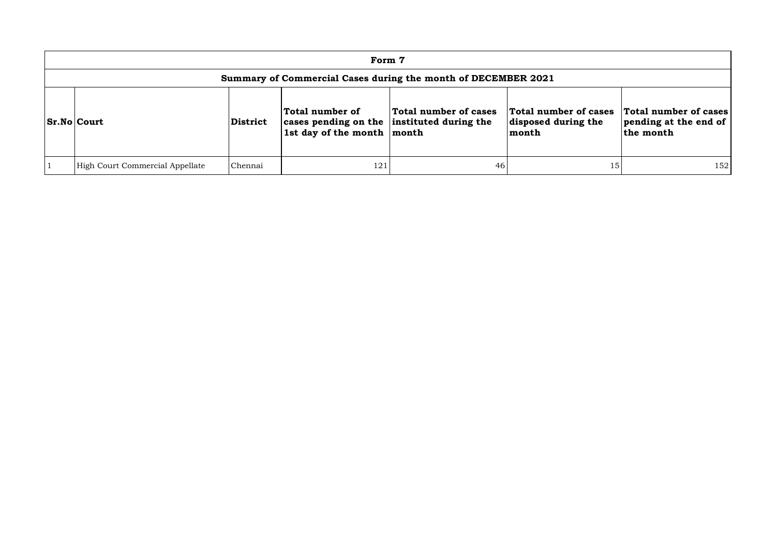|                                                                                                                                                                                                                                                                                                | Form 7                                                        |         |     |    |    |     |  |  |  |  |
|------------------------------------------------------------------------------------------------------------------------------------------------------------------------------------------------------------------------------------------------------------------------------------------------|---------------------------------------------------------------|---------|-----|----|----|-----|--|--|--|--|
|                                                                                                                                                                                                                                                                                                | Summary of Commercial Cases during the month of DECEMBER 2021 |         |     |    |    |     |  |  |  |  |
| Total number of cases<br>Total number of cases<br>Total number of cases<br>Total number of<br><b>Sr.No Court</b><br>cases pending on the instituted during the<br>pending at the end of<br>disposed during the<br>District<br>$\vert$ 1st day of the month $\vert$ month<br>the month<br>month |                                                               |         |     |    |    |     |  |  |  |  |
|                                                                                                                                                                                                                                                                                                | High Court Commercial Appellate                               | Chennai | 121 | 46 | 15 | 152 |  |  |  |  |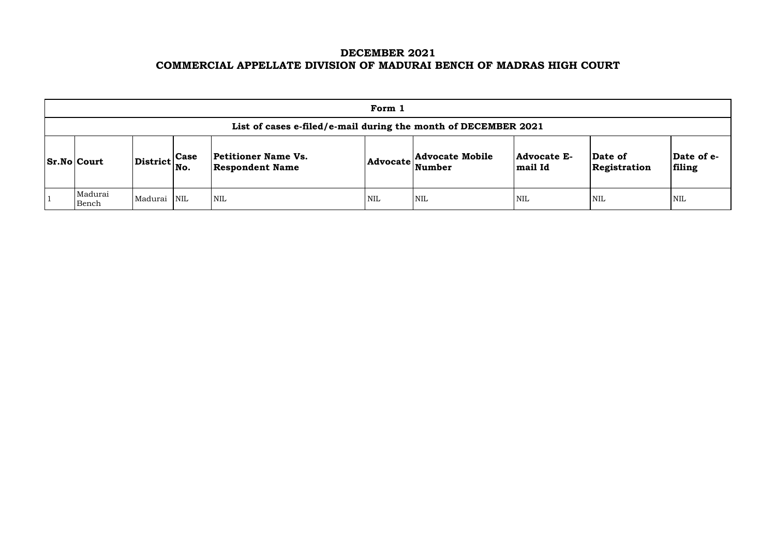# **DECEMBER 2021 COMMERCIAL APPELLATE DIVISION OF MADURAI BENCH OF MADRAS HIGH COURT**

| Form 1                                                         |                                                           |  |                                                      |            |                                                            |                                      |                         |                       |  |  |  |
|----------------------------------------------------------------|-----------------------------------------------------------|--|------------------------------------------------------|------------|------------------------------------------------------------|--------------------------------------|-------------------------|-----------------------|--|--|--|
| List of cases e-filed/e-mail during the month of DECEMBER 2021 |                                                           |  |                                                      |            |                                                            |                                      |                         |                       |  |  |  |
| <b>Sr.No Court</b>                                             | $\left \text{District}\right _{\text{No.}}^{\text{Case}}$ |  | <b>Petitioner Name Vs.</b><br><b>Respondent Name</b> |            | <b>Advocate Mobile</b><br>$ {\bf Advocate} \text{Number} $ | <b>Advocate E-</b><br><b>mail Id</b> | Date of<br>Registration | $\mathbf{Da}$<br>fili |  |  |  |
| Madurai<br>Bench                                               | Madurai NIL                                               |  | <b>NIL</b>                                           | <b>NIL</b> | <b>NIL</b>                                                 | <b>NIL</b>                           | <b>NIL</b>              | NIL                   |  |  |  |

| Date of<br>Registration | Date of e-<br>filing |
|-------------------------|----------------------|
| NIL                     | NH.                  |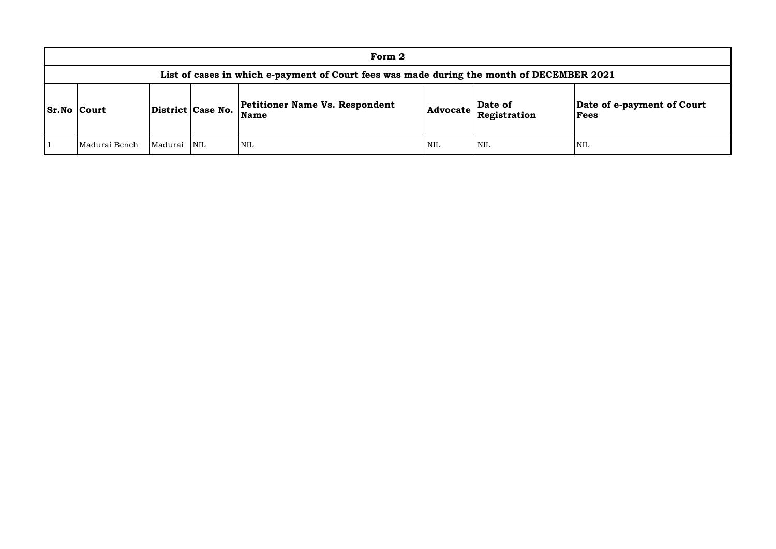| Form 2                                                                                    |         |                   |                                               |            |                         |                 |  |  |  |  |  |
|-------------------------------------------------------------------------------------------|---------|-------------------|-----------------------------------------------|------------|-------------------------|-----------------|--|--|--|--|--|
| List of cases in which e-payment of Court fees was made during the month of DECEMBER 2021 |         |                   |                                               |            |                         |                 |  |  |  |  |  |
| <b>Sr.No Court</b>                                                                        |         | District Case No. | <b>Petitioner Name Vs. Respondent</b><br>Name | Advocate   | Date of<br>Registration | Date of<br>Fees |  |  |  |  |  |
| Madurai Bench                                                                             | Madurai | NIL               | <b>NIL</b>                                    | <b>NIL</b> | <b>NIL</b>              | <b>NIL</b>      |  |  |  |  |  |

# **Date of e-payment of Court Fees**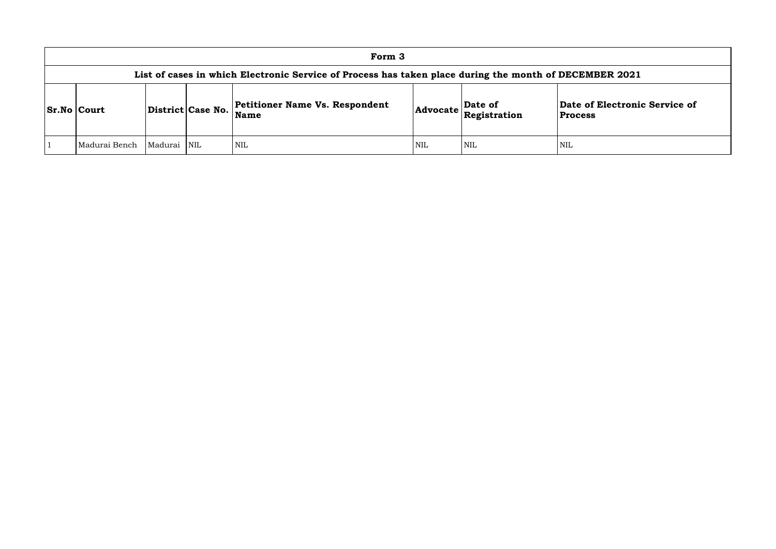## **of Electronic Service of Process**

| Form 3                                                                                                 |         |                         |                                                      |     |                                                                            |                                            |  |  |  |  |  |
|--------------------------------------------------------------------------------------------------------|---------|-------------------------|------------------------------------------------------|-----|----------------------------------------------------------------------------|--------------------------------------------|--|--|--|--|--|
| List of cases in which Electronic Service of Process has taken place during the month of DECEMBER 2021 |         |                         |                                                      |     |                                                                            |                                            |  |  |  |  |  |
| <b>Sr.No Court</b>                                                                                     |         | District Case No.       | <b>Petitioner Name Vs. Respondent</b><br><b>Name</b> |     | Date of<br>$ {\sf Advocate}\left \stackrel{\text{def}}{\text{Res}}\right $ | <b>Date of Electroni</b><br><b>Process</b> |  |  |  |  |  |
| Madurai Bench                                                                                          | Madurai | $\overline{\text{NIL}}$ | <b>NIL</b>                                           | NIL | <b>NIL</b>                                                                 | NIL                                        |  |  |  |  |  |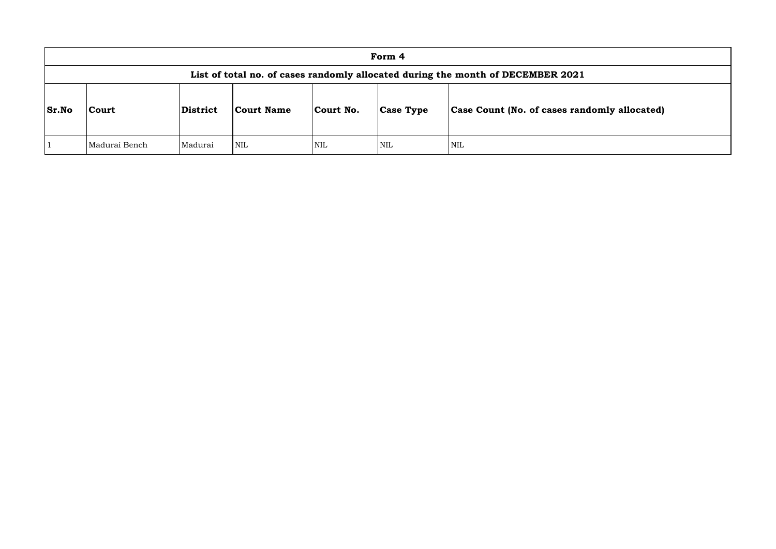|              | Form 4                                                                          |                 |            |            |                  |                                      |  |  |  |  |  |
|--------------|---------------------------------------------------------------------------------|-----------------|------------|------------|------------------|--------------------------------------|--|--|--|--|--|
|              | List of total no. of cases randomly allocated during the month of DECEMBER 2021 |                 |            |            |                  |                                      |  |  |  |  |  |
| <b>Sr.No</b> | <b>Court</b>                                                                    | <b>District</b> | Court Name | Court No.  | <b>Case Type</b> | <b>Case Count (No. of cases rand</b> |  |  |  |  |  |
|              | Madurai Bench                                                                   | Madurai         | <b>NIL</b> | <b>NIL</b> | <b>NIL</b>       | NIL                                  |  |  |  |  |  |

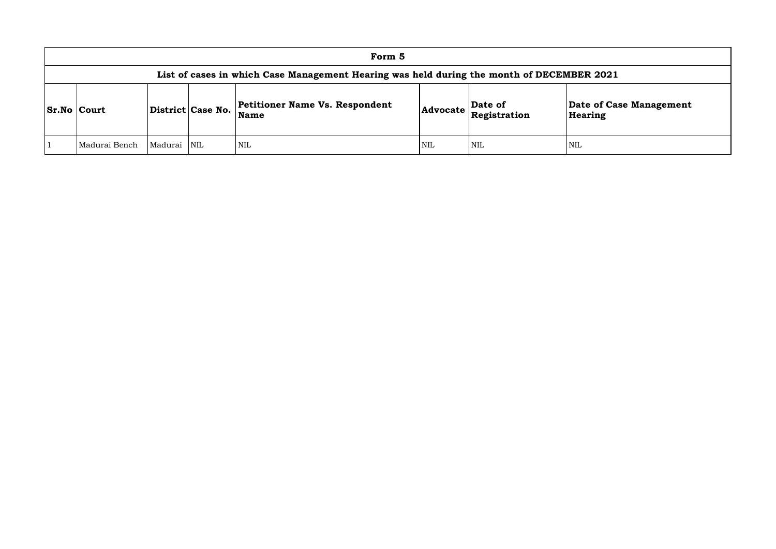| Form 5                                                                                    |         |                   |                                                      |            |                                                                                                             |                       |  |  |  |  |  |
|-------------------------------------------------------------------------------------------|---------|-------------------|------------------------------------------------------|------------|-------------------------------------------------------------------------------------------------------------|-----------------------|--|--|--|--|--|
| List of cases in which Case Management Hearing was held during the month of DECEMBER 2021 |         |                   |                                                      |            |                                                                                                             |                       |  |  |  |  |  |
| <b>Sr.No Court</b>                                                                        |         | District Case No. | <b>Petitioner Name Vs. Respondent</b><br><b>Name</b> |            | $\left $ Advocate $\left  \begin{array}{l} \textbf{Date of} \\ \textbf{Registribution} \end{array} \right $ | Date of Ca<br>Hearing |  |  |  |  |  |
| Madurai Bench                                                                             | Madurai | <b>NIL</b>        | <b>NIL</b>                                           | <b>NIL</b> | <b>NIL</b>                                                                                                  | NIL                   |  |  |  |  |  |

**e of Case Management** ring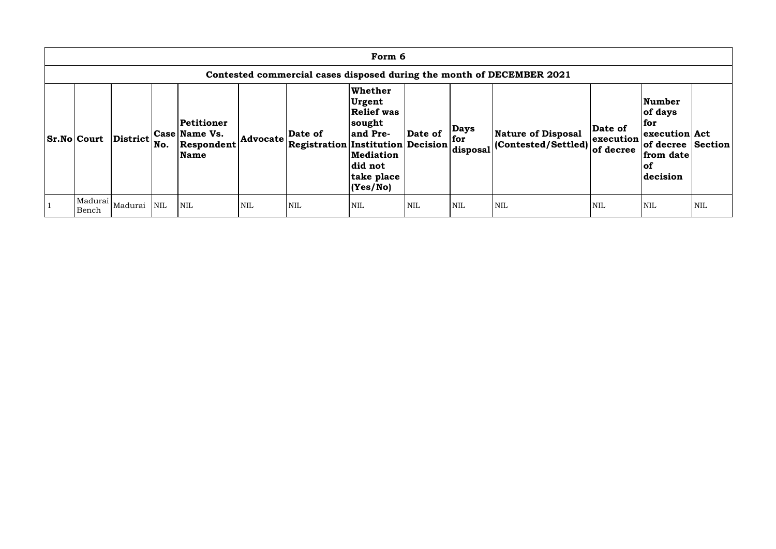| Form 6                                                                |          |     |                                                          |            |                                                          |                                                                                                                              |            |                                |                                                          |                                   |                                                                                                     |            |
|-----------------------------------------------------------------------|----------|-----|----------------------------------------------------------|------------|----------------------------------------------------------|------------------------------------------------------------------------------------------------------------------------------|------------|--------------------------------|----------------------------------------------------------|-----------------------------------|-----------------------------------------------------------------------------------------------------|------------|
| Contested commercial cases disposed during the month of DECEMBER 2021 |          |     |                                                          |            |                                                          |                                                                                                                              |            |                                |                                                          |                                   |                                                                                                     |            |
| <b>Sr.No Court</b>                                                    | District | No. | Petitioner<br>Case Name Vs.<br>Respondent<br><b>Name</b> | Advocate   | Date of<br>$ {}$ Registration Institution Decision $ {}$ | <b>Whether</b><br>Urgent<br><b>Relief was</b><br>sought<br>and Pre-<br><b>Mediation</b><br>did not<br>take place<br>(Yes/No) | Date of    | <b>Days</b><br>for<br>disposal | <b>Nature of Disposal</b><br>$ $ (Contested/Settled) $ $ | Date of<br>execution<br>of decree | Number<br>of days<br>  for<br>execution Act<br>of decree Section<br>from date<br>$ $ of<br>decision |            |
| Madurai<br>Bench                                                      | Madurai  | NIL | <b>NIL</b>                                               | <b>NIL</b> | <b>NIL</b>                                               | <b>NIL</b>                                                                                                                   | <b>NIL</b> | <b>NIL</b>                     | <b>NIL</b>                                               | NIL                               | NIL                                                                                                 | <b>NIL</b> |